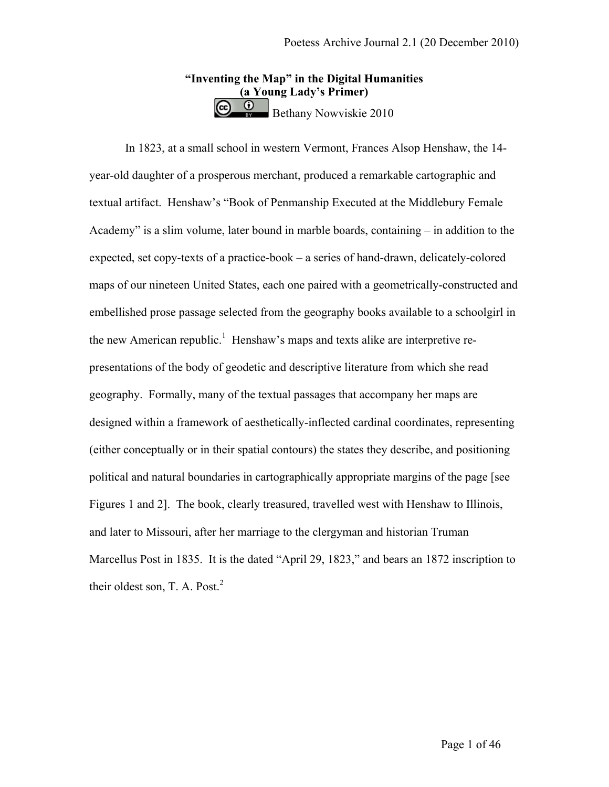# **"Inventing the Map" in the Digital Humanities (a Young Lady's Primer)**  Bethany Nowviskie 2010

In 1823, at a small school in western Vermont, Frances Alsop Henshaw, the 14 year-old daughter of a prosperous merchant, produced a remarkable cartographic and textual artifact. Henshaw's "Book of Penmanship Executed at the Middlebury Female Academy" is a slim volume, later bound in marble boards, containing – in addition to the expected, set copy-texts of a practice-book – a series of hand-drawn, delicately-colored maps of our nineteen United States, each one paired with a geometrically-constructed and embellished prose passage selected from the geography books available to a schoolgirl in the new American republic.<sup>1</sup> Henshaw's maps and texts alike are interpretive representations of the body of geodetic and descriptive literature from which she read geography. Formally, many of the textual passages that accompany her maps are designed within a framework of aesthetically-inflected cardinal coordinates, representing (either conceptually or in their spatial contours) the states they describe, and positioning political and natural boundaries in cartographically appropriate margins of the page [see Figures 1 and 2]. The book, clearly treasured, travelled west with Henshaw to Illinois, and later to Missouri, after her marriage to the clergyman and historian Truman Marcellus Post in 1835. It is the dated "April 29, 1823," and bears an 1872 inscription to their oldest son, T. A. Post. $^{2}$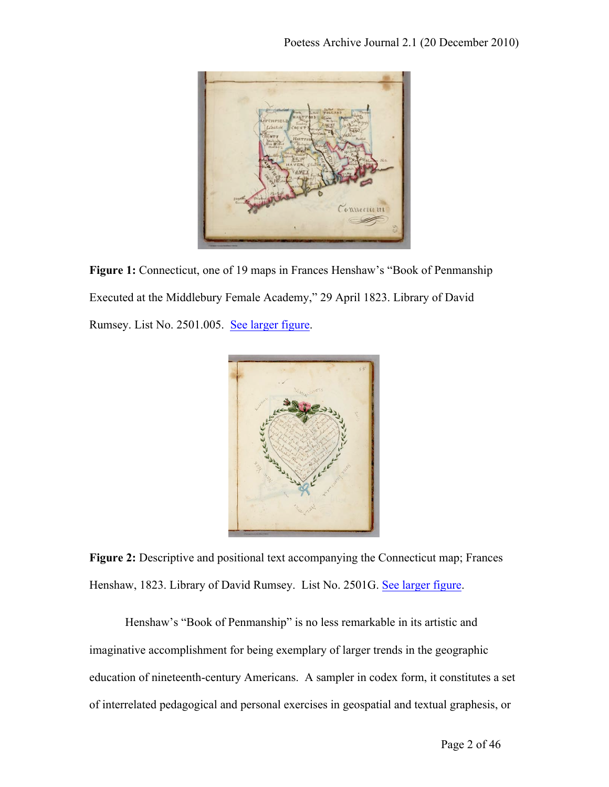

**Figure 1:** Connecticut, one of 19 maps in Frances Henshaw's "Book of Penmanship Executed at the Middlebury Female Academy," 29 April 1823. Library of David Rumsey. List No. 2501.005. See larger figure.



**Figure 2:** Descriptive and positional text accompanying the Connecticut map; Frances Henshaw, 1823. Library of David Rumsey. List No. 2501G. See larger figure.

Henshaw's "Book of Penmanship" is no less remarkable in its artistic and imaginative accomplishment for being exemplary of larger trends in the geographic education of nineteenth-century Americans. A sampler in codex form, it constitutes a set of interrelated pedagogical and personal exercises in geospatial and textual graphesis, or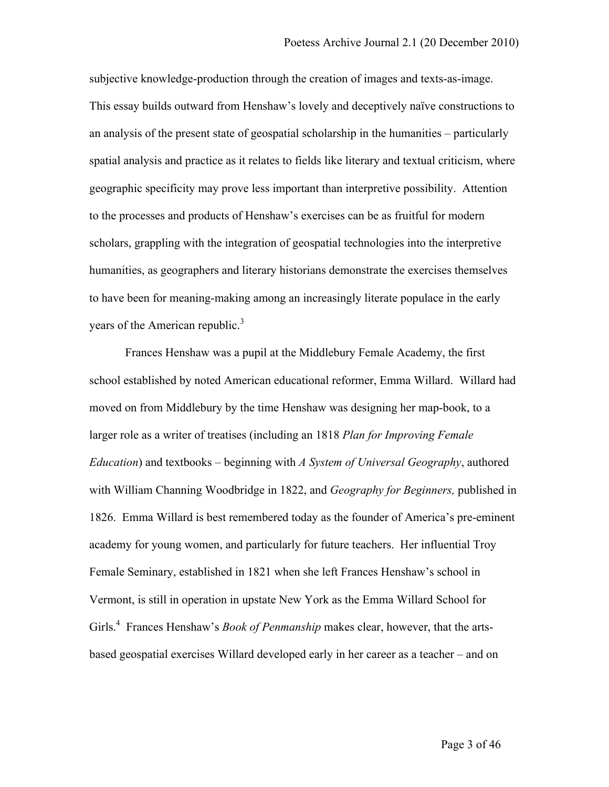subjective knowledge-production through the creation of images and texts-as-image. This essay builds outward from Henshaw's lovely and deceptively naïve constructions to an analysis of the present state of geospatial scholarship in the humanities – particularly spatial analysis and practice as it relates to fields like literary and textual criticism, where geographic specificity may prove less important than interpretive possibility. Attention to the processes and products of Henshaw's exercises can be as fruitful for modern scholars, grappling with the integration of geospatial technologies into the interpretive humanities, as geographers and literary historians demonstrate the exercises themselves to have been for meaning-making among an increasingly literate populace in the early vears of the American republic.<sup>3</sup>

Frances Henshaw was a pupil at the Middlebury Female Academy, the first school established by noted American educational reformer, Emma Willard. Willard had moved on from Middlebury by the time Henshaw was designing her map-book, to a larger role as a writer of treatises (including an 1818 *Plan for Improving Female Education*) and textbooks – beginning with *A System of Universal Geography*, authored with William Channing Woodbridge in 1822, and *Geography for Beginners,* published in 1826. Emma Willard is best remembered today as the founder of America's pre-eminent academy for young women, and particularly for future teachers. Her influential Troy Female Seminary, established in 1821 when she left Frances Henshaw's school in Vermont, is still in operation in upstate New York as the Emma Willard School for Girls.<sup>4</sup> Frances Henshaw's *Book of Penmanship* makes clear, however, that the artsbased geospatial exercises Willard developed early in her career as a teacher – and on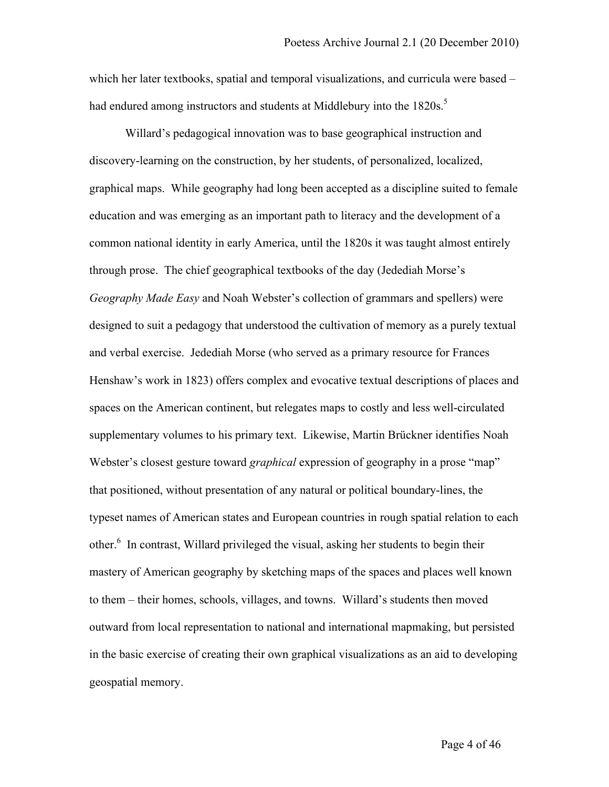which her later textbooks, spatial and temporal visualizations, and curricula were based – had endured among instructors and students at Middlebury into the  $1820s$ .<sup>5</sup>

Willard's pedagogical innovation was to base geographical instruction and discovery-learning on the construction, by her students, of personalized, localized, graphical maps. While geography had long been accepted as a discipline suited to female education and was emerging as an important path to literacy and the development of a common national identity in early America, until the 1820s it was taught almost entirely through prose. The chief geographical textbooks of the day (Jedediah Morse's *Geography Made Easy* and Noah Webster's collection of grammars and spellers) were designed to suit a pedagogy that understood the cultivation of memory as a purely textual and verbal exercise. Jedediah Morse (who served as a primary resource for Frances Henshaw's work in 1823) offers complex and evocative textual descriptions of places and spaces on the American continent, but relegates maps to costly and less well-circulated supplementary volumes to his primary text. Likewise, Martin Brückner identifies Noah Webster's closest gesture toward *graphical* expression of geography in a prose "map" that positioned, without presentation of any natural or political boundary-lines, the typeset names of American states and European countries in rough spatial relation to each other.6 In contrast, Willard privileged the visual, asking her students to begin their mastery of American geography by sketching maps of the spaces and places well known to them – their homes, schools, villages, and towns. Willard's students then moved outward from local representation to national and international mapmaking, but persisted in the basic exercise of creating their own graphical visualizations as an aid to developing geospatial memory.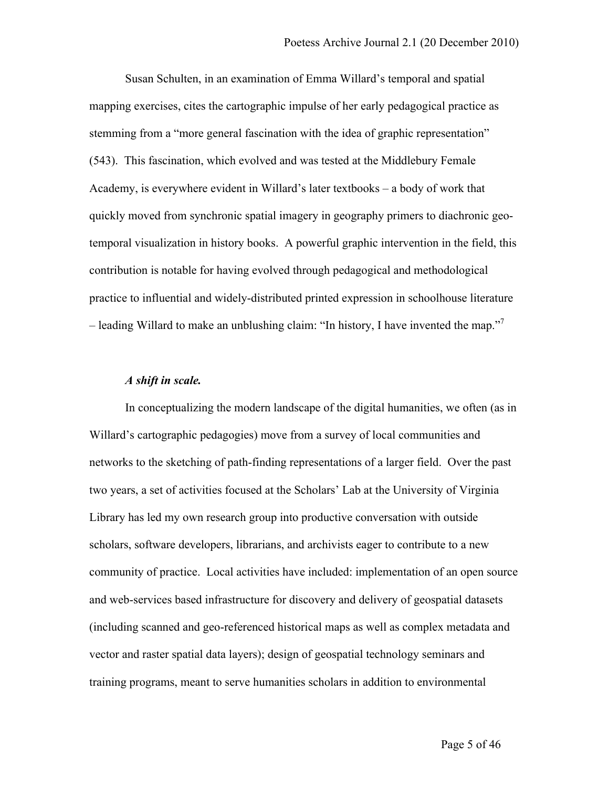Susan Schulten, in an examination of Emma Willard's temporal and spatial mapping exercises, cites the cartographic impulse of her early pedagogical practice as stemming from a "more general fascination with the idea of graphic representation" (543). This fascination, which evolved and was tested at the Middlebury Female Academy, is everywhere evident in Willard's later textbooks – a body of work that quickly moved from synchronic spatial imagery in geography primers to diachronic geotemporal visualization in history books. A powerful graphic intervention in the field, this contribution is notable for having evolved through pedagogical and methodological practice to influential and widely-distributed printed expression in schoolhouse literature – leading Willard to make an unblushing claim: "In history, I have invented the map."7

### *A shift in scale.*

In conceptualizing the modern landscape of the digital humanities, we often (as in Willard's cartographic pedagogies) move from a survey of local communities and networks to the sketching of path-finding representations of a larger field. Over the past two years, a set of activities focused at the Scholars' Lab at the University of Virginia Library has led my own research group into productive conversation with outside scholars, software developers, librarians, and archivists eager to contribute to a new community of practice. Local activities have included: implementation of an open source and web-services based infrastructure for discovery and delivery of geospatial datasets (including scanned and geo-referenced historical maps as well as complex metadata and vector and raster spatial data layers); design of geospatial technology seminars and training programs, meant to serve humanities scholars in addition to environmental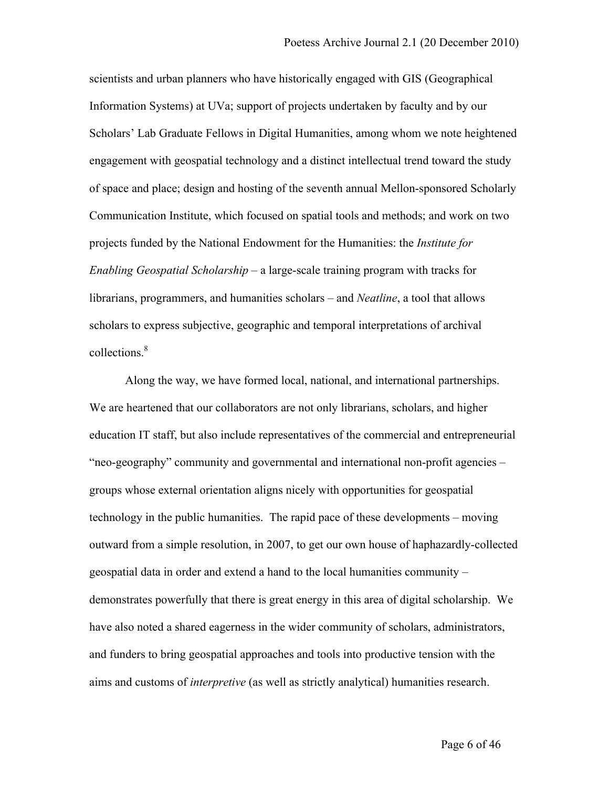scientists and urban planners who have historically engaged with GIS (Geographical Information Systems) at UVa; support of projects undertaken by faculty and by our Scholars' Lab Graduate Fellows in Digital Humanities, among whom we note heightened engagement with geospatial technology and a distinct intellectual trend toward the study of space and place; design and hosting of the seventh annual Mellon-sponsored Scholarly Communication Institute, which focused on spatial tools and methods; and work on two projects funded by the National Endowment for the Humanities: the *Institute for Enabling Geospatial Scholarship* – a large-scale training program with tracks for librarians, programmers, and humanities scholars – and *Neatline*, a tool that allows scholars to express subjective, geographic and temporal interpretations of archival collections.<sup>8</sup>

Along the way, we have formed local, national, and international partnerships. We are heartened that our collaborators are not only librarians, scholars, and higher education IT staff, but also include representatives of the commercial and entrepreneurial "neo-geography" community and governmental and international non-profit agencies – groups whose external orientation aligns nicely with opportunities for geospatial technology in the public humanities. The rapid pace of these developments – moving outward from a simple resolution, in 2007, to get our own house of haphazardly-collected geospatial data in order and extend a hand to the local humanities community – demonstrates powerfully that there is great energy in this area of digital scholarship. We have also noted a shared eagerness in the wider community of scholars, administrators, and funders to bring geospatial approaches and tools into productive tension with the aims and customs of *interpretive* (as well as strictly analytical) humanities research.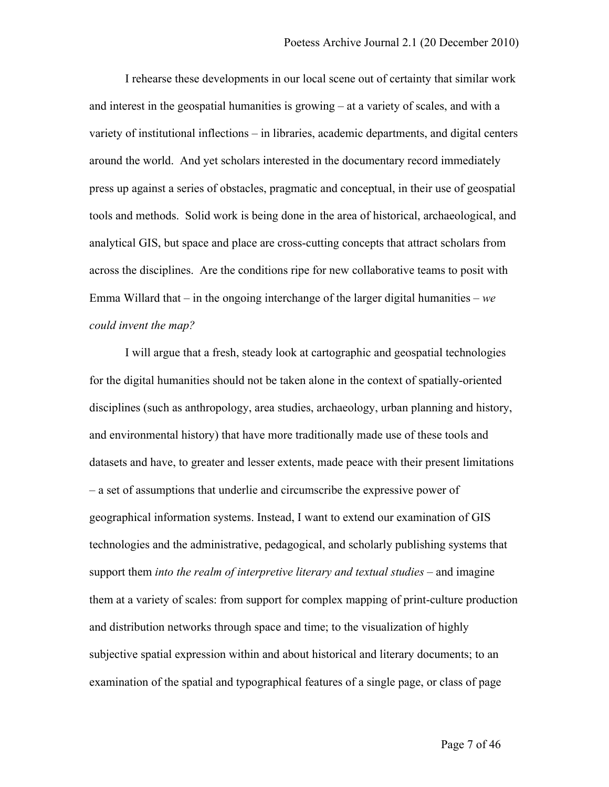I rehearse these developments in our local scene out of certainty that similar work and interest in the geospatial humanities is growing – at a variety of scales, and with a variety of institutional inflections – in libraries, academic departments, and digital centers around the world. And yet scholars interested in the documentary record immediately press up against a series of obstacles, pragmatic and conceptual, in their use of geospatial tools and methods. Solid work is being done in the area of historical, archaeological, and analytical GIS, but space and place are cross-cutting concepts that attract scholars from across the disciplines. Are the conditions ripe for new collaborative teams to posit with Emma Willard that – in the ongoing interchange of the larger digital humanities – *we could invent the map?* 

I will argue that a fresh, steady look at cartographic and geospatial technologies for the digital humanities should not be taken alone in the context of spatially-oriented disciplines (such as anthropology, area studies, archaeology, urban planning and history, and environmental history) that have more traditionally made use of these tools and datasets and have, to greater and lesser extents, made peace with their present limitations – a set of assumptions that underlie and circumscribe the expressive power of geographical information systems. Instead, I want to extend our examination of GIS technologies and the administrative, pedagogical, and scholarly publishing systems that support them *into the realm of interpretive literary and textual studies* – and imagine them at a variety of scales: from support for complex mapping of print-culture production and distribution networks through space and time; to the visualization of highly subjective spatial expression within and about historical and literary documents; to an examination of the spatial and typographical features of a single page, or class of page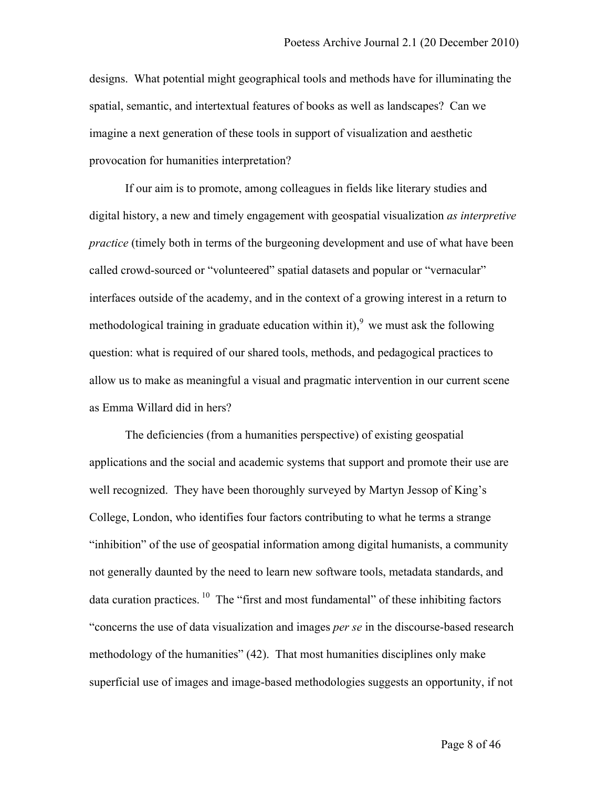designs. What potential might geographical tools and methods have for illuminating the spatial, semantic, and intertextual features of books as well as landscapes? Can we imagine a next generation of these tools in support of visualization and aesthetic provocation for humanities interpretation?

If our aim is to promote, among colleagues in fields like literary studies and digital history, a new and timely engagement with geospatial visualization *as interpretive practice* (timely both in terms of the burgeoning development and use of what have been called crowd-sourced or "volunteered" spatial datasets and popular or "vernacular" interfaces outside of the academy, and in the context of a growing interest in a return to methodological training in graduate education within it), <sup>9</sup> we must ask the following question: what is required of our shared tools, methods, and pedagogical practices to allow us to make as meaningful a visual and pragmatic intervention in our current scene as Emma Willard did in hers?

The deficiencies (from a humanities perspective) of existing geospatial applications and the social and academic systems that support and promote their use are well recognized. They have been thoroughly surveyed by Martyn Jessop of King's College, London, who identifies four factors contributing to what he terms a strange "inhibition" of the use of geospatial information among digital humanists, a community not generally daunted by the need to learn new software tools, metadata standards, and data curation practices.  $\frac{10}{10}$  The "first and most fundamental" of these inhibiting factors "concerns the use of data visualization and images *per se* in the discourse-based research methodology of the humanities" (42). That most humanities disciplines only make superficial use of images and image-based methodologies suggests an opportunity, if not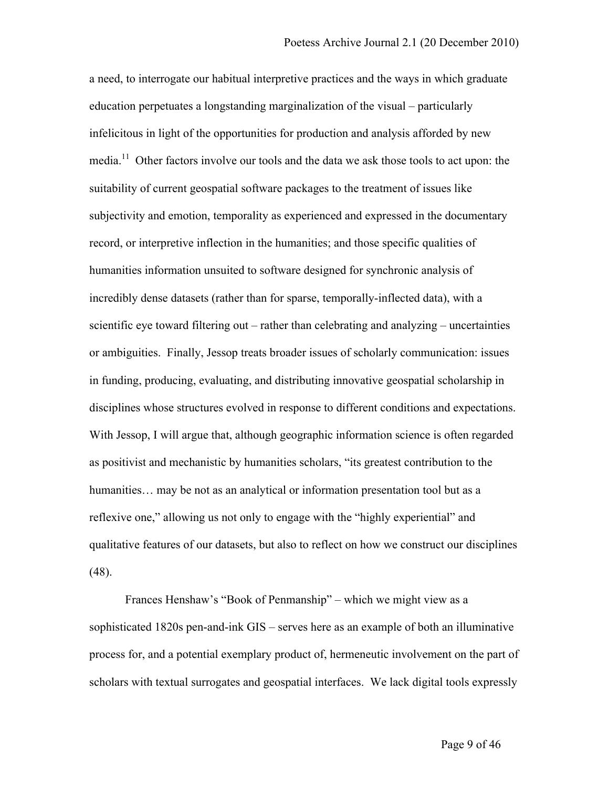a need, to interrogate our habitual interpretive practices and the ways in which graduate education perpetuates a longstanding marginalization of the visual – particularly infelicitous in light of the opportunities for production and analysis afforded by new media.<sup>11</sup> Other factors involve our tools and the data we ask those tools to act upon: the suitability of current geospatial software packages to the treatment of issues like subjectivity and emotion, temporality as experienced and expressed in the documentary record, or interpretive inflection in the humanities; and those specific qualities of humanities information unsuited to software designed for synchronic analysis of incredibly dense datasets (rather than for sparse, temporally-inflected data), with a scientific eye toward filtering out – rather than celebrating and analyzing – uncertainties or ambiguities. Finally, Jessop treats broader issues of scholarly communication: issues in funding, producing, evaluating, and distributing innovative geospatial scholarship in disciplines whose structures evolved in response to different conditions and expectations. With Jessop, I will argue that, although geographic information science is often regarded as positivist and mechanistic by humanities scholars, "its greatest contribution to the humanities... may be not as an analytical or information presentation tool but as a reflexive one," allowing us not only to engage with the "highly experiential" and qualitative features of our datasets, but also to reflect on how we construct our disciplines (48).

Frances Henshaw's "Book of Penmanship" – which we might view as a sophisticated 1820s pen-and-ink GIS – serves here as an example of both an illuminative process for, and a potential exemplary product of, hermeneutic involvement on the part of scholars with textual surrogates and geospatial interfaces. We lack digital tools expressly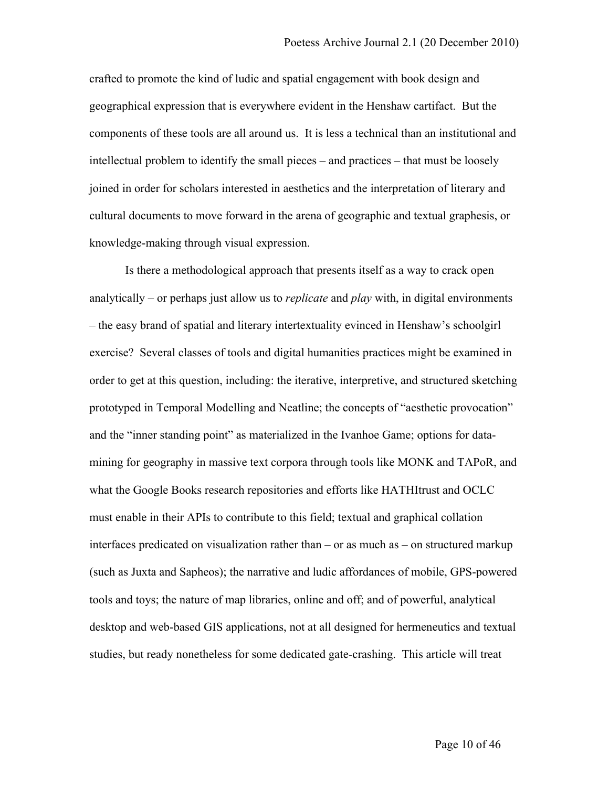crafted to promote the kind of ludic and spatial engagement with book design and geographical expression that is everywhere evident in the Henshaw cartifact. But the components of these tools are all around us. It is less a technical than an institutional and intellectual problem to identify the small pieces – and practices – that must be loosely joined in order for scholars interested in aesthetics and the interpretation of literary and cultural documents to move forward in the arena of geographic and textual graphesis, or knowledge-making through visual expression.

Is there a methodological approach that presents itself as a way to crack open analytically – or perhaps just allow us to *replicate* and *play* with, in digital environments – the easy brand of spatial and literary intertextuality evinced in Henshaw's schoolgirl exercise? Several classes of tools and digital humanities practices might be examined in order to get at this question, including: the iterative, interpretive, and structured sketching prototyped in Temporal Modelling and Neatline; the concepts of "aesthetic provocation" and the "inner standing point" as materialized in the Ivanhoe Game; options for datamining for geography in massive text corpora through tools like MONK and TAPoR, and what the Google Books research repositories and efforts like HATHItrust and OCLC must enable in their APIs to contribute to this field; textual and graphical collation interfaces predicated on visualization rather than – or as much as – on structured markup (such as Juxta and Sapheos); the narrative and ludic affordances of mobile, GPS-powered tools and toys; the nature of map libraries, online and off; and of powerful, analytical desktop and web-based GIS applications, not at all designed for hermeneutics and textual studies, but ready nonetheless for some dedicated gate-crashing. This article will treat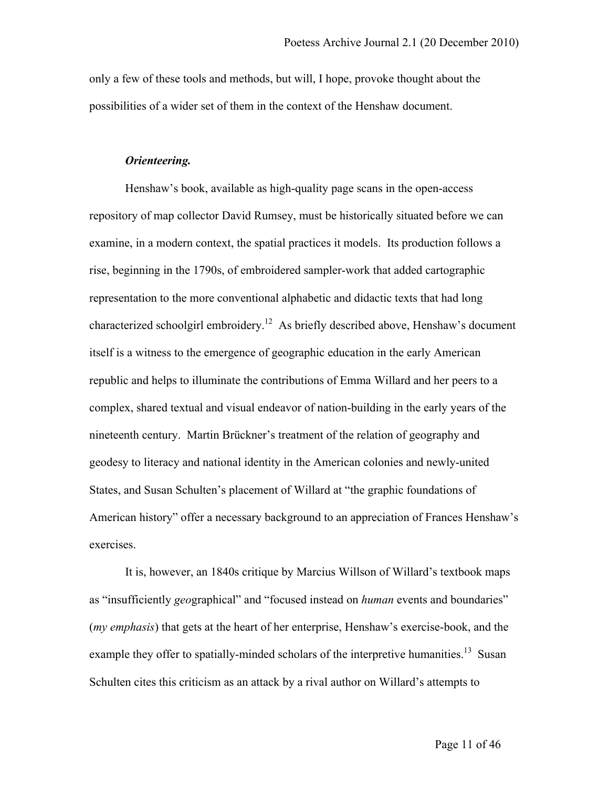only a few of these tools and methods, but will, I hope, provoke thought about the possibilities of a wider set of them in the context of the Henshaw document.

## *Orienteering.*

Henshaw's book, available as high-quality page scans in the open-access repository of map collector David Rumsey, must be historically situated before we can examine, in a modern context, the spatial practices it models. Its production follows a rise, beginning in the 1790s, of embroidered sampler-work that added cartographic representation to the more conventional alphabetic and didactic texts that had long characterized schoolgirl embroidery.12 As briefly described above, Henshaw's document itself is a witness to the emergence of geographic education in the early American republic and helps to illuminate the contributions of Emma Willard and her peers to a complex, shared textual and visual endeavor of nation-building in the early years of the nineteenth century. Martin Brückner's treatment of the relation of geography and geodesy to literacy and national identity in the American colonies and newly-united States, and Susan Schulten's placement of Willard at "the graphic foundations of American history" offer a necessary background to an appreciation of Frances Henshaw's exercises.

It is, however, an 1840s critique by Marcius Willson of Willard's textbook maps as "insufficiently *geo*graphical" and "focused instead on *human* events and boundaries" (*my emphasis*) that gets at the heart of her enterprise, Henshaw's exercise-book, and the example they offer to spatially-minded scholars of the interpretive humanities.<sup>13</sup> Susan Schulten cites this criticism as an attack by a rival author on Willard's attempts to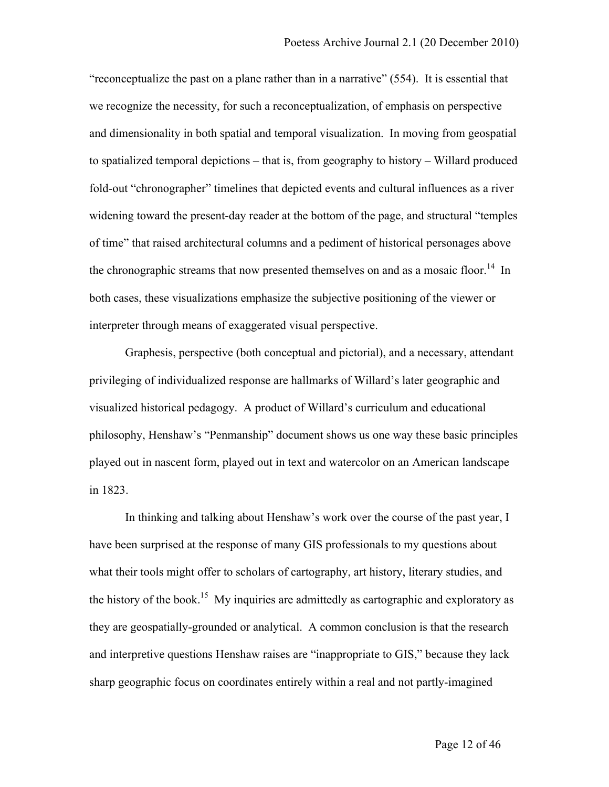"reconceptualize the past on a plane rather than in a narrative" (554). It is essential that we recognize the necessity, for such a reconceptualization, of emphasis on perspective and dimensionality in both spatial and temporal visualization. In moving from geospatial to spatialized temporal depictions – that is, from geography to history – Willard produced fold-out "chronographer" timelines that depicted events and cultural influences as a river widening toward the present-day reader at the bottom of the page, and structural "temples of time" that raised architectural columns and a pediment of historical personages above the chronographic streams that now presented themselves on and as a mosaic floor.<sup>14</sup> In both cases, these visualizations emphasize the subjective positioning of the viewer or interpreter through means of exaggerated visual perspective.

Graphesis, perspective (both conceptual and pictorial), and a necessary, attendant privileging of individualized response are hallmarks of Willard's later geographic and visualized historical pedagogy. A product of Willard's curriculum and educational philosophy, Henshaw's "Penmanship" document shows us one way these basic principles played out in nascent form, played out in text and watercolor on an American landscape in 1823.

In thinking and talking about Henshaw's work over the course of the past year, I have been surprised at the response of many GIS professionals to my questions about what their tools might offer to scholars of cartography, art history, literary studies, and the history of the book.<sup>15</sup> My inquiries are admittedly as cartographic and exploratory as they are geospatially-grounded or analytical. A common conclusion is that the research and interpretive questions Henshaw raises are "inappropriate to GIS," because they lack sharp geographic focus on coordinates entirely within a real and not partly-imagined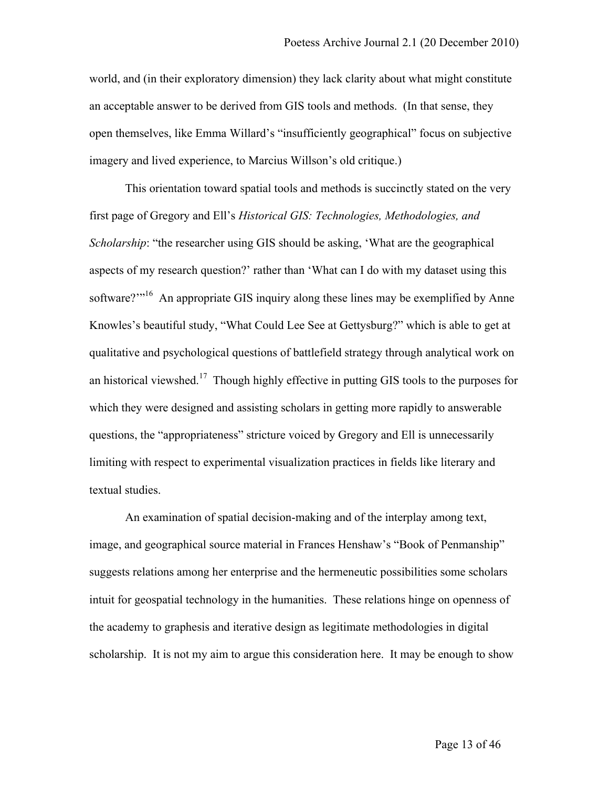world, and (in their exploratory dimension) they lack clarity about what might constitute an acceptable answer to be derived from GIS tools and methods. (In that sense, they open themselves, like Emma Willard's "insufficiently geographical" focus on subjective imagery and lived experience, to Marcius Willson's old critique.)

This orientation toward spatial tools and methods is succinctly stated on the very first page of Gregory and Ell's *Historical GIS: Technologies, Methodologies, and Scholarship*: "the researcher using GIS should be asking, 'What are the geographical aspects of my research question?' rather than 'What can I do with my dataset using this software?'"<sup>16</sup> An appropriate GIS inquiry along these lines may be exemplified by Anne Knowles's beautiful study, "What Could Lee See at Gettysburg?" which is able to get at qualitative and psychological questions of battlefield strategy through analytical work on an historical viewshed.<sup>17</sup> Though highly effective in putting GIS tools to the purposes for which they were designed and assisting scholars in getting more rapidly to answerable questions, the "appropriateness" stricture voiced by Gregory and Ell is unnecessarily limiting with respect to experimental visualization practices in fields like literary and textual studies.

An examination of spatial decision-making and of the interplay among text, image, and geographical source material in Frances Henshaw's "Book of Penmanship" suggests relations among her enterprise and the hermeneutic possibilities some scholars intuit for geospatial technology in the humanities. These relations hinge on openness of the academy to graphesis and iterative design as legitimate methodologies in digital scholarship. It is not my aim to argue this consideration here. It may be enough to show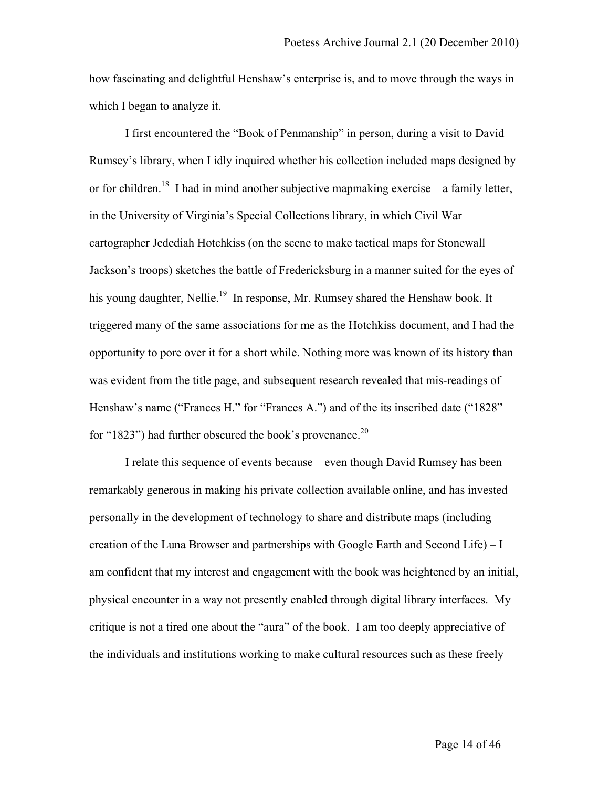how fascinating and delightful Henshaw's enterprise is, and to move through the ways in which I began to analyze it.

I first encountered the "Book of Penmanship" in person, during a visit to David Rumsey's library, when I idly inquired whether his collection included maps designed by or for children.<sup>18</sup> I had in mind another subjective mapmaking exercise – a family letter, in the University of Virginia's Special Collections library, in which Civil War cartographer Jedediah Hotchkiss (on the scene to make tactical maps for Stonewall Jackson's troops) sketches the battle of Fredericksburg in a manner suited for the eyes of his young daughter, Nellie.<sup>19</sup> In response, Mr. Rumsey shared the Henshaw book. It triggered many of the same associations for me as the Hotchkiss document, and I had the opportunity to pore over it for a short while. Nothing more was known of its history than was evident from the title page, and subsequent research revealed that mis-readings of Henshaw's name ("Frances H." for "Frances A.") and of the its inscribed date ("1828" for "1823") had further obscured the book's provenance.<sup>20</sup>

I relate this sequence of events because – even though David Rumsey has been remarkably generous in making his private collection available online, and has invested personally in the development of technology to share and distribute maps (including creation of the Luna Browser and partnerships with Google Earth and Second Life) – I am confident that my interest and engagement with the book was heightened by an initial, physical encounter in a way not presently enabled through digital library interfaces. My critique is not a tired one about the "aura" of the book. I am too deeply appreciative of the individuals and institutions working to make cultural resources such as these freely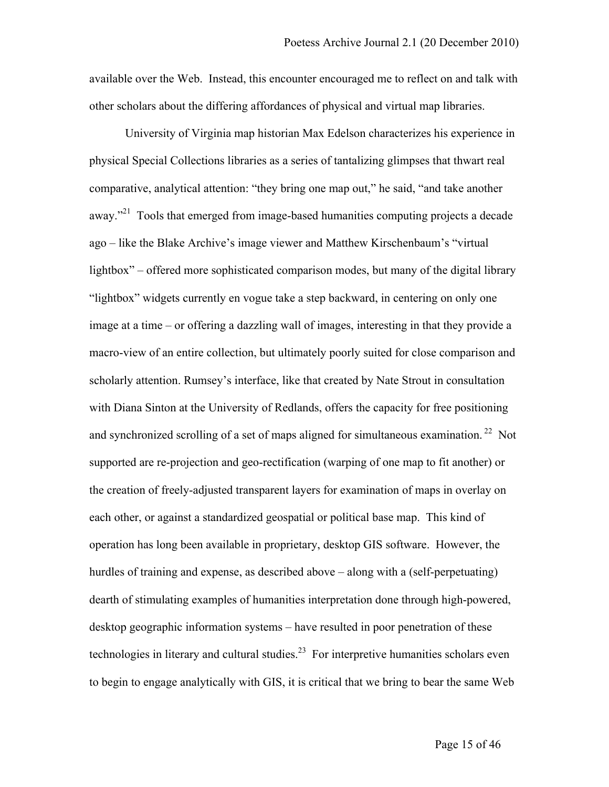available over the Web. Instead, this encounter encouraged me to reflect on and talk with other scholars about the differing affordances of physical and virtual map libraries.

University of Virginia map historian Max Edelson characterizes his experience in physical Special Collections libraries as a series of tantalizing glimpses that thwart real comparative, analytical attention: "they bring one map out," he said, "and take another away."<sup>21</sup> Tools that emerged from image-based humanities computing projects a decade ago – like the Blake Archive's image viewer and Matthew Kirschenbaum's "virtual lightbox" – offered more sophisticated comparison modes, but many of the digital library "lightbox" widgets currently en vogue take a step backward, in centering on only one image at a time – or offering a dazzling wall of images, interesting in that they provide a macro-view of an entire collection, but ultimately poorly suited for close comparison and scholarly attention. Rumsey's interface, like that created by Nate Strout in consultation with Diana Sinton at the University of Redlands, offers the capacity for free positioning and synchronized scrolling of a set of maps aligned for simultaneous examination.<sup>22</sup> Not supported are re-projection and geo-rectification (warping of one map to fit another) or the creation of freely-adjusted transparent layers for examination of maps in overlay on each other, or against a standardized geospatial or political base map. This kind of operation has long been available in proprietary, desktop GIS software. However, the hurdles of training and expense, as described above – along with a (self-perpetuating) dearth of stimulating examples of humanities interpretation done through high-powered, desktop geographic information systems – have resulted in poor penetration of these technologies in literary and cultural studies.<sup>23</sup> For interpretive humanities scholars even to begin to engage analytically with GIS, it is critical that we bring to bear the same Web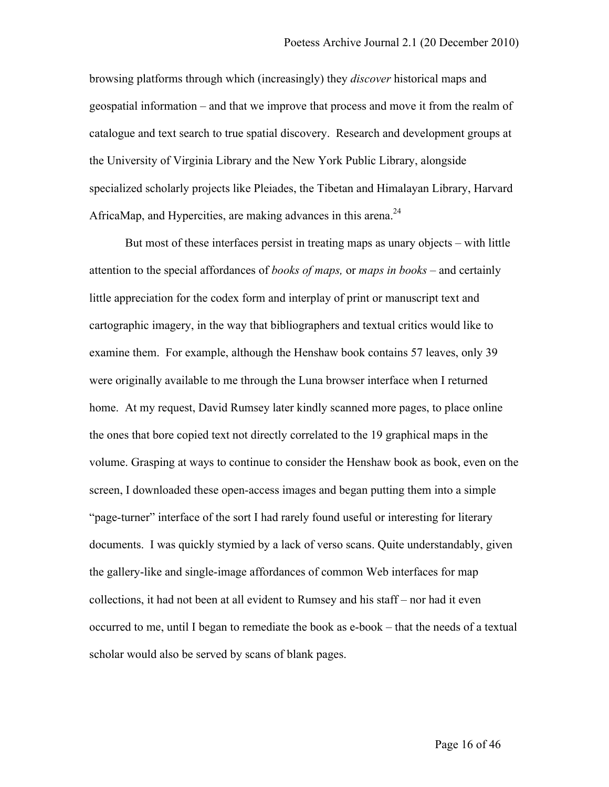browsing platforms through which (increasingly) they *discover* historical maps and geospatial information – and that we improve that process and move it from the realm of catalogue and text search to true spatial discovery. Research and development groups at the University of Virginia Library and the New York Public Library, alongside specialized scholarly projects like Pleiades, the Tibetan and Himalayan Library, Harvard AfricaMap, and Hypercities, are making advances in this arena.<sup>24</sup>

But most of these interfaces persist in treating maps as unary objects – with little attention to the special affordances of *books of maps,* or *maps in books* – and certainly little appreciation for the codex form and interplay of print or manuscript text and cartographic imagery, in the way that bibliographers and textual critics would like to examine them. For example, although the Henshaw book contains 57 leaves, only 39 were originally available to me through the Luna browser interface when I returned home. At my request, David Rumsey later kindly scanned more pages, to place online the ones that bore copied text not directly correlated to the 19 graphical maps in the volume. Grasping at ways to continue to consider the Henshaw book as book, even on the screen, I downloaded these open-access images and began putting them into a simple "page-turner" interface of the sort I had rarely found useful or interesting for literary documents. I was quickly stymied by a lack of verso scans. Quite understandably, given the gallery-like and single-image affordances of common Web interfaces for map collections, it had not been at all evident to Rumsey and his staff – nor had it even occurred to me, until I began to remediate the book as e-book – that the needs of a textual scholar would also be served by scans of blank pages.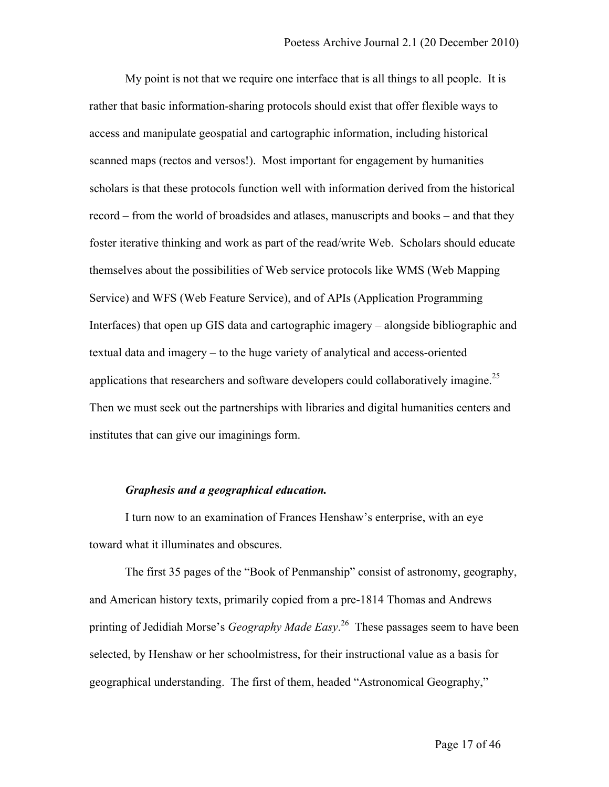My point is not that we require one interface that is all things to all people. It is rather that basic information-sharing protocols should exist that offer flexible ways to access and manipulate geospatial and cartographic information, including historical scanned maps (rectos and versos!). Most important for engagement by humanities scholars is that these protocols function well with information derived from the historical record – from the world of broadsides and atlases, manuscripts and books – and that they foster iterative thinking and work as part of the read/write Web. Scholars should educate themselves about the possibilities of Web service protocols like WMS (Web Mapping Service) and WFS (Web Feature Service), and of APIs (Application Programming Interfaces) that open up GIS data and cartographic imagery – alongside bibliographic and textual data and imagery – to the huge variety of analytical and access-oriented applications that researchers and software developers could collaboratively imagine.<sup>25</sup> Then we must seek out the partnerships with libraries and digital humanities centers and institutes that can give our imaginings form.

## *Graphesis and a geographical education.*

I turn now to an examination of Frances Henshaw's enterprise, with an eye toward what it illuminates and obscures.

The first 35 pages of the "Book of Penmanship" consist of astronomy, geography, and American history texts, primarily copied from a pre-1814 Thomas and Andrews printing of Jedidiah Morse's *Geography Made Easy*. <sup>26</sup> These passages seem to have been selected, by Henshaw or her schoolmistress, for their instructional value as a basis for geographical understanding. The first of them, headed "Astronomical Geography,"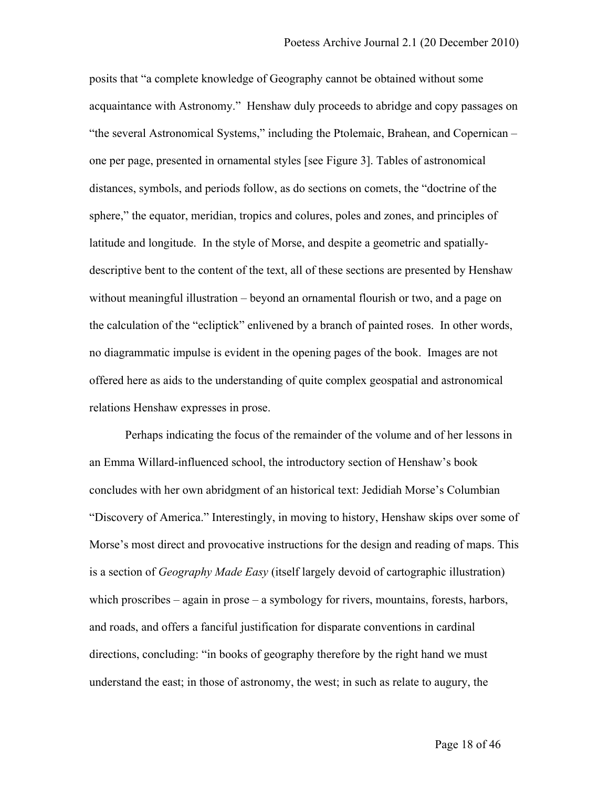posits that "a complete knowledge of Geography cannot be obtained without some acquaintance with Astronomy." Henshaw duly proceeds to abridge and copy passages on "the several Astronomical Systems," including the Ptolemaic, Brahean, and Copernican – one per page, presented in ornamental styles [see Figure 3]. Tables of astronomical distances, symbols, and periods follow, as do sections on comets, the "doctrine of the sphere," the equator, meridian, tropics and colures, poles and zones, and principles of latitude and longitude. In the style of Morse, and despite a geometric and spatiallydescriptive bent to the content of the text, all of these sections are presented by Henshaw without meaningful illustration – beyond an ornamental flourish or two, and a page on the calculation of the "ecliptick" enlivened by a branch of painted roses. In other words, no diagrammatic impulse is evident in the opening pages of the book. Images are not offered here as aids to the understanding of quite complex geospatial and astronomical relations Henshaw expresses in prose.

Perhaps indicating the focus of the remainder of the volume and of her lessons in an Emma Willard-influenced school, the introductory section of Henshaw's book concludes with her own abridgment of an historical text: Jedidiah Morse's Columbian "Discovery of America." Interestingly, in moving to history, Henshaw skips over some of Morse's most direct and provocative instructions for the design and reading of maps. This is a section of *Geography Made Easy* (itself largely devoid of cartographic illustration) which proscribes  $-\alpha$  again in prose  $-\alpha$  symbology for rivers, mountains, forests, harbors, and roads, and offers a fanciful justification for disparate conventions in cardinal directions, concluding: "in books of geography therefore by the right hand we must understand the east; in those of astronomy, the west; in such as relate to augury, the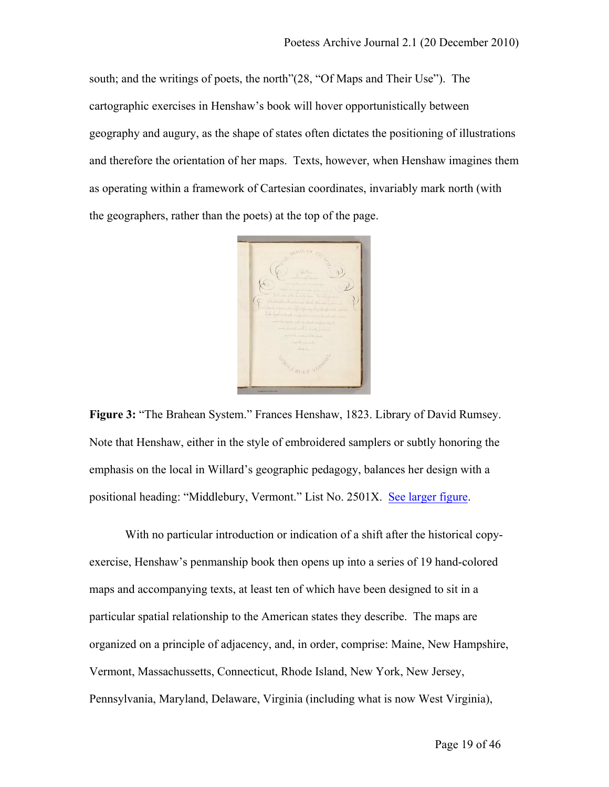south; and the writings of poets, the north"(28, "Of Maps and Their Use"). The cartographic exercises in Henshaw's book will hover opportunistically between geography and augury, as the shape of states often dictates the positioning of illustrations and therefore the orientation of her maps. Texts, however, when Henshaw imagines them as operating within a framework of Cartesian coordinates, invariably mark north (with the geographers, rather than the poets) at the top of the page.



**Figure 3:** "The Brahean System." Frances Henshaw, 1823. Library of David Rumsey. Note that Henshaw, either in the style of embroidered samplers or subtly honoring the emphasis on the local in Willard's geographic pedagogy, balances her design with a positional heading: "Middlebury, Vermont." List No. 2501X. See larger figure.

With no particular introduction or indication of a shift after the historical copyexercise, Henshaw's penmanship book then opens up into a series of 19 hand-colored maps and accompanying texts, at least ten of which have been designed to sit in a particular spatial relationship to the American states they describe. The maps are organized on a principle of adjacency, and, in order, comprise: Maine, New Hampshire, Vermont, Massachussetts, Connecticut, Rhode Island, New York, New Jersey, Pennsylvania, Maryland, Delaware, Virginia (including what is now West Virginia),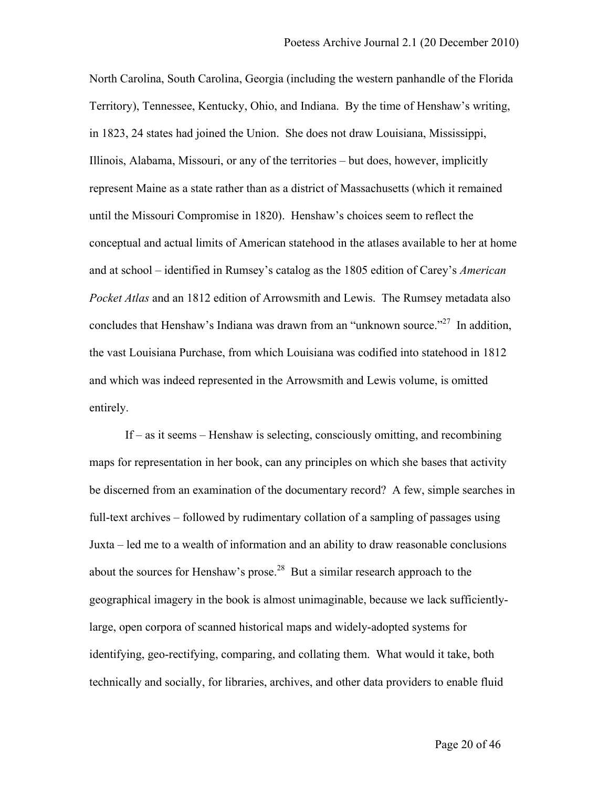North Carolina, South Carolina, Georgia (including the western panhandle of the Florida Territory), Tennessee, Kentucky, Ohio, and Indiana. By the time of Henshaw's writing, in 1823, 24 states had joined the Union. She does not draw Louisiana, Mississippi, Illinois, Alabama, Missouri, or any of the territories – but does, however, implicitly represent Maine as a state rather than as a district of Massachusetts (which it remained until the Missouri Compromise in 1820). Henshaw's choices seem to reflect the conceptual and actual limits of American statehood in the atlases available to her at home and at school – identified in Rumsey's catalog as the 1805 edition of Carey's *American Pocket Atlas* and an 1812 edition of Arrowsmith and Lewis. The Rumsey metadata also concludes that Henshaw's Indiana was drawn from an "unknown source."<sup>27</sup> In addition, the vast Louisiana Purchase, from which Louisiana was codified into statehood in 1812 and which was indeed represented in the Arrowsmith and Lewis volume, is omitted entirely.

If – as it seems – Henshaw is selecting, consciously omitting, and recombining maps for representation in her book, can any principles on which she bases that activity be discerned from an examination of the documentary record? A few, simple searches in full-text archives – followed by rudimentary collation of a sampling of passages using Juxta – led me to a wealth of information and an ability to draw reasonable conclusions about the sources for Henshaw's prose.<sup>28</sup> But a similar research approach to the geographical imagery in the book is almost unimaginable, because we lack sufficientlylarge, open corpora of scanned historical maps and widely-adopted systems for identifying, geo-rectifying, comparing, and collating them. What would it take, both technically and socially, for libraries, archives, and other data providers to enable fluid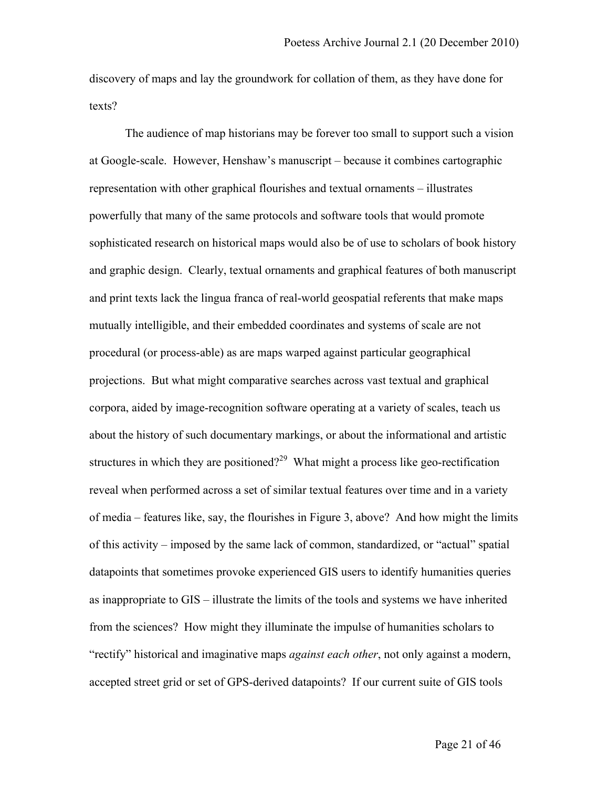discovery of maps and lay the groundwork for collation of them, as they have done for texts?

The audience of map historians may be forever too small to support such a vision at Google-scale. However, Henshaw's manuscript – because it combines cartographic representation with other graphical flourishes and textual ornaments – illustrates powerfully that many of the same protocols and software tools that would promote sophisticated research on historical maps would also be of use to scholars of book history and graphic design. Clearly, textual ornaments and graphical features of both manuscript and print texts lack the lingua franca of real-world geospatial referents that make maps mutually intelligible, and their embedded coordinates and systems of scale are not procedural (or process-able) as are maps warped against particular geographical projections. But what might comparative searches across vast textual and graphical corpora, aided by image-recognition software operating at a variety of scales, teach us about the history of such documentary markings, or about the informational and artistic structures in which they are positioned?<sup>29</sup> What might a process like geo-rectification reveal when performed across a set of similar textual features over time and in a variety of media – features like, say, the flourishes in Figure 3, above? And how might the limits of this activity – imposed by the same lack of common, standardized, or "actual" spatial datapoints that sometimes provoke experienced GIS users to identify humanities queries as inappropriate to GIS – illustrate the limits of the tools and systems we have inherited from the sciences? How might they illuminate the impulse of humanities scholars to "rectify" historical and imaginative maps *against each other*, not only against a modern, accepted street grid or set of GPS-derived datapoints? If our current suite of GIS tools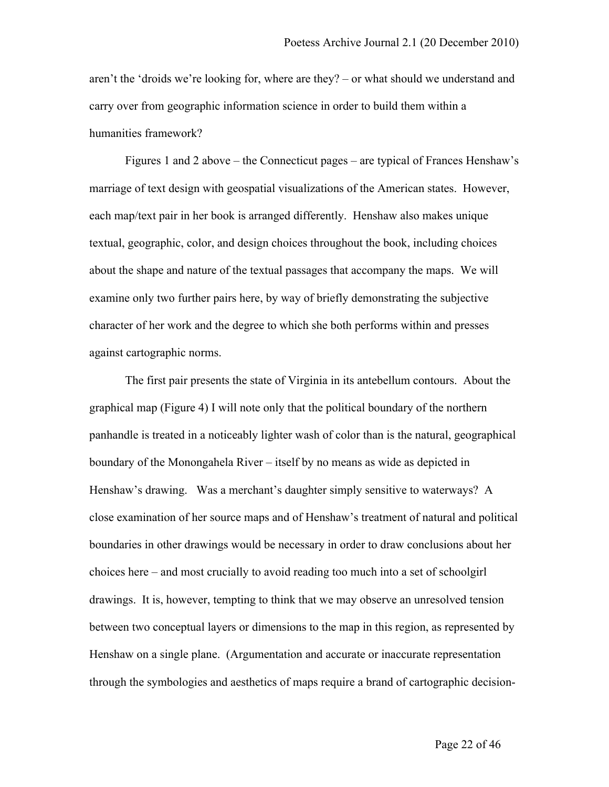aren't the 'droids we're looking for, where are they? – or what should we understand and carry over from geographic information science in order to build them within a humanities framework?

Figures 1 and 2 above – the Connecticut pages – are typical of Frances Henshaw's marriage of text design with geospatial visualizations of the American states. However, each map/text pair in her book is arranged differently. Henshaw also makes unique textual, geographic, color, and design choices throughout the book, including choices about the shape and nature of the textual passages that accompany the maps. We will examine only two further pairs here, by way of briefly demonstrating the subjective character of her work and the degree to which she both performs within and presses against cartographic norms.

The first pair presents the state of Virginia in its antebellum contours. About the graphical map (Figure 4) I will note only that the political boundary of the northern panhandle is treated in a noticeably lighter wash of color than is the natural, geographical boundary of the Monongahela River – itself by no means as wide as depicted in Henshaw's drawing. Was a merchant's daughter simply sensitive to waterways? A close examination of her source maps and of Henshaw's treatment of natural and political boundaries in other drawings would be necessary in order to draw conclusions about her choices here – and most crucially to avoid reading too much into a set of schoolgirl drawings. It is, however, tempting to think that we may observe an unresolved tension between two conceptual layers or dimensions to the map in this region, as represented by Henshaw on a single plane. (Argumentation and accurate or inaccurate representation through the symbologies and aesthetics of maps require a brand of cartographic decision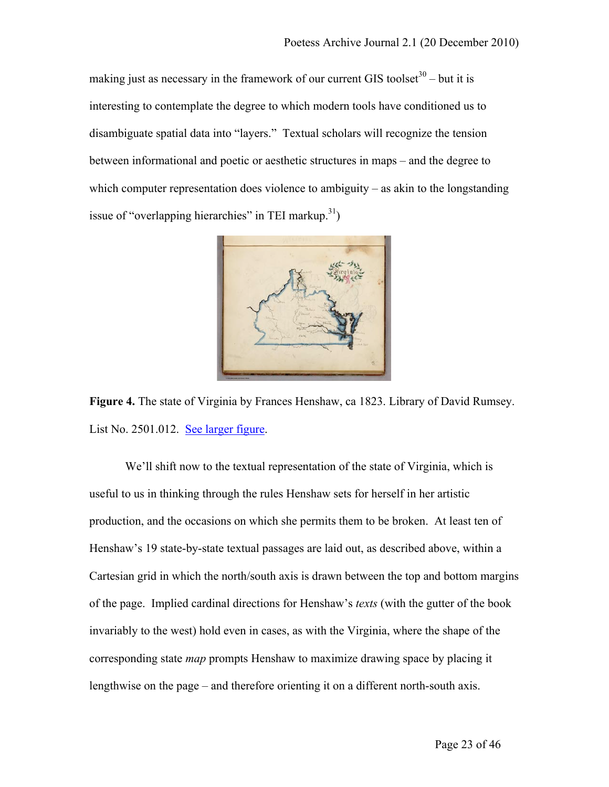making just as necessary in the framework of our current GIS toolset<sup>30</sup> – but it is interesting to contemplate the degree to which modern tools have conditioned us to disambiguate spatial data into "layers." Textual scholars will recognize the tension between informational and poetic or aesthetic structures in maps – and the degree to which computer representation does violence to ambiguity – as akin to the longstanding issue of "overlapping hierarchies" in TEI markup.<sup>31</sup>)



**Figure 4.** The state of Virginia by Frances Henshaw, ca 1823. Library of David Rumsey. List No. 2501.012. See larger figure.

We'll shift now to the textual representation of the state of Virginia, which is useful to us in thinking through the rules Henshaw sets for herself in her artistic production, and the occasions on which she permits them to be broken. At least ten of Henshaw's 19 state-by-state textual passages are laid out, as described above, within a Cartesian grid in which the north/south axis is drawn between the top and bottom margins of the page. Implied cardinal directions for Henshaw's *texts* (with the gutter of the book invariably to the west) hold even in cases, as with the Virginia, where the shape of the corresponding state *map* prompts Henshaw to maximize drawing space by placing it lengthwise on the page – and therefore orienting it on a different north-south axis.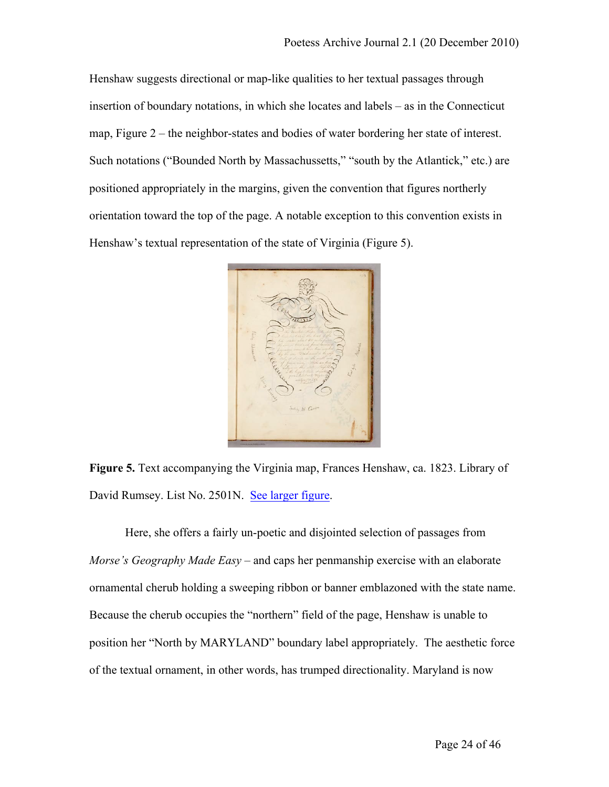Henshaw suggests directional or map-like qualities to her textual passages through insertion of boundary notations, in which she locates and labels – as in the Connecticut map, Figure 2 – the neighbor-states and bodies of water bordering her state of interest. Such notations ("Bounded North by Massachussetts," "south by the Atlantick," etc.) are positioned appropriately in the margins, given the convention that figures northerly orientation toward the top of the page. A notable exception to this convention exists in Henshaw's textual representation of the state of Virginia (Figure 5).



**Figure 5.** Text accompanying the Virginia map, Frances Henshaw, ca. 1823. Library of David Rumsey. List No. 2501N. See larger figure.

Here, she offers a fairly un-poetic and disjointed selection of passages from *Morse's Geography Made Easy* – and caps her penmanship exercise with an elaborate ornamental cherub holding a sweeping ribbon or banner emblazoned with the state name. Because the cherub occupies the "northern" field of the page, Henshaw is unable to position her "North by MARYLAND" boundary label appropriately. The aesthetic force of the textual ornament, in other words, has trumped directionality. Maryland is now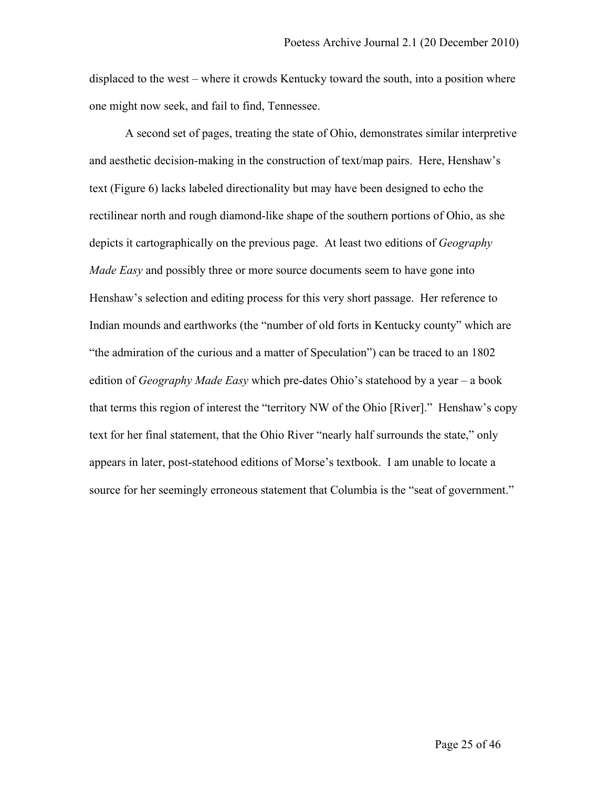displaced to the west – where it crowds Kentucky toward the south, into a position where one might now seek, and fail to find, Tennessee.

A second set of pages, treating the state of Ohio, demonstrates similar interpretive and aesthetic decision-making in the construction of text/map pairs. Here, Henshaw's text (Figure 6) lacks labeled directionality but may have been designed to echo the rectilinear north and rough diamond-like shape of the southern portions of Ohio, as she depicts it cartographically on the previous page. At least two editions of *Geography Made Easy* and possibly three or more source documents seem to have gone into Henshaw's selection and editing process for this very short passage. Her reference to Indian mounds and earthworks (the "number of old forts in Kentucky county" which are "the admiration of the curious and a matter of Speculation") can be traced to an 1802 edition of *Geography Made Easy* which pre-dates Ohio's statehood by a year – a book that terms this region of interest the "territory NW of the Ohio [River]." Henshaw's copy text for her final statement, that the Ohio River "nearly half surrounds the state," only appears in later, post-statehood editions of Morse's textbook. I am unable to locate a source for her seemingly erroneous statement that Columbia is the "seat of government."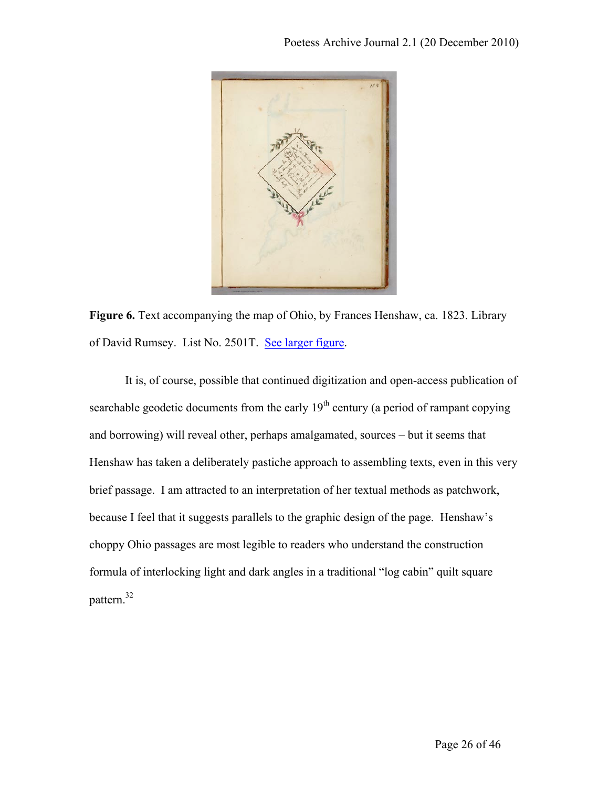

**Figure 6.** Text accompanying the map of Ohio, by Frances Henshaw, ca. 1823. Library of David Rumsey. List No. 2501T. See larger figure.

It is, of course, possible that continued digitization and open-access publication of searchable geodetic documents from the early  $19<sup>th</sup>$  century (a period of rampant copying and borrowing) will reveal other, perhaps amalgamated, sources – but it seems that Henshaw has taken a deliberately pastiche approach to assembling texts, even in this very brief passage. I am attracted to an interpretation of her textual methods as patchwork, because I feel that it suggests parallels to the graphic design of the page. Henshaw's choppy Ohio passages are most legible to readers who understand the construction formula of interlocking light and dark angles in a traditional "log cabin" quilt square pattern.32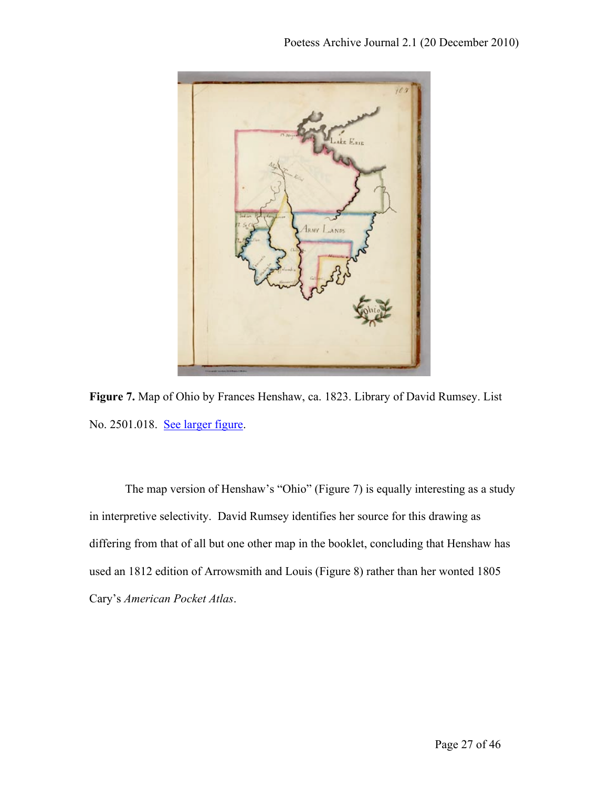

**Figure 7.** Map of Ohio by Frances Henshaw, ca. 1823. Library of David Rumsey. List No. 2501.018. See larger figure.

The map version of Henshaw's "Ohio" (Figure 7) is equally interesting as a study in interpretive selectivity. David Rumsey identifies her source for this drawing as differing from that of all but one other map in the booklet, concluding that Henshaw has used an 1812 edition of Arrowsmith and Louis (Figure 8) rather than her wonted 1805 Cary's *American Pocket Atlas*.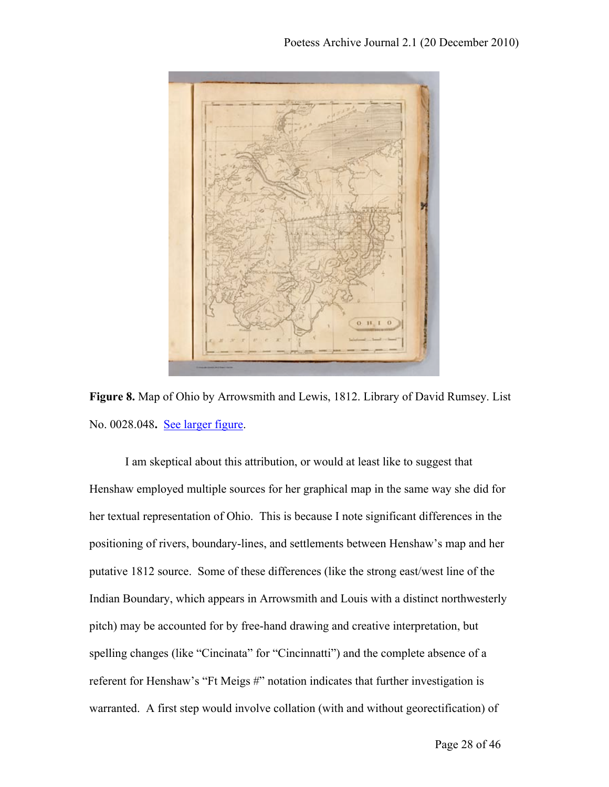

**Figure 8.** Map of Ohio by Arrowsmith and Lewis, 1812. Library of David Rumsey. List No. 0028.048**.** See larger figure.

I am skeptical about this attribution, or would at least like to suggest that Henshaw employed multiple sources for her graphical map in the same way she did for her textual representation of Ohio. This is because I note significant differences in the positioning of rivers, boundary-lines, and settlements between Henshaw's map and her putative 1812 source. Some of these differences (like the strong east/west line of the Indian Boundary, which appears in Arrowsmith and Louis with a distinct northwesterly pitch) may be accounted for by free-hand drawing and creative interpretation, but spelling changes (like "Cincinata" for "Cincinnatti") and the complete absence of a referent for Henshaw's "Ft Meigs #" notation indicates that further investigation is warranted. A first step would involve collation (with and without georectification) of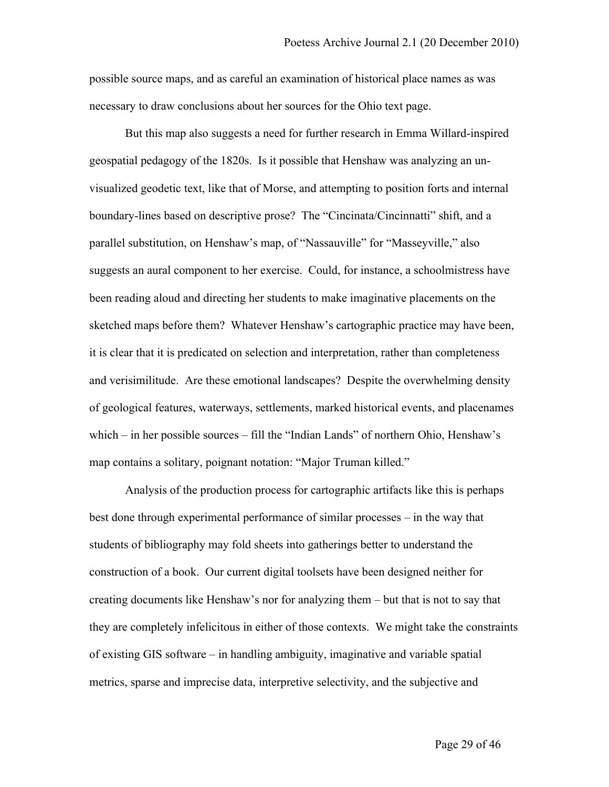possible source maps, and as careful an examination of historical place names as was necessary to draw conclusions about her sources for the Ohio text page.

But this map also suggests a need for further research in Emma Willard-inspired geospatial pedagogy of the 1820s. Is it possible that Henshaw was analyzing an unvisualized geodetic text, like that of Morse, and attempting to position forts and internal boundary-lines based on descriptive prose? The "Cincinata/Cincinnatti" shift, and a parallel substitution, on Henshaw's map, of "Nassauville" for "Masseyville," also suggests an aural component to her exercise. Could, for instance, a schoolmistress have been reading aloud and directing her students to make imaginative placements on the sketched maps before them? Whatever Henshaw's cartographic practice may have been, it is clear that it is predicated on selection and interpretation, rather than completeness and verisimilitude. Are these emotional landscapes? Despite the overwhelming density of geological features, waterways, settlements, marked historical events, and placenames which – in her possible sources – fill the "Indian Lands" of northern Ohio, Henshaw's map contains a solitary, poignant notation: "Major Truman killed."

Analysis of the production process for cartographic artifacts like this is perhaps best done through experimental performance of similar processes – in the way that students of bibliography may fold sheets into gatherings better to understand the construction of a book. Our current digital toolsets have been designed neither for creating documents like Henshaw's nor for analyzing them – but that is not to say that they are completely infelicitous in either of those contexts. We might take the constraints of existing GIS software – in handling ambiguity, imaginative and variable spatial metrics, sparse and imprecise data, interpretive selectivity, and the subjective and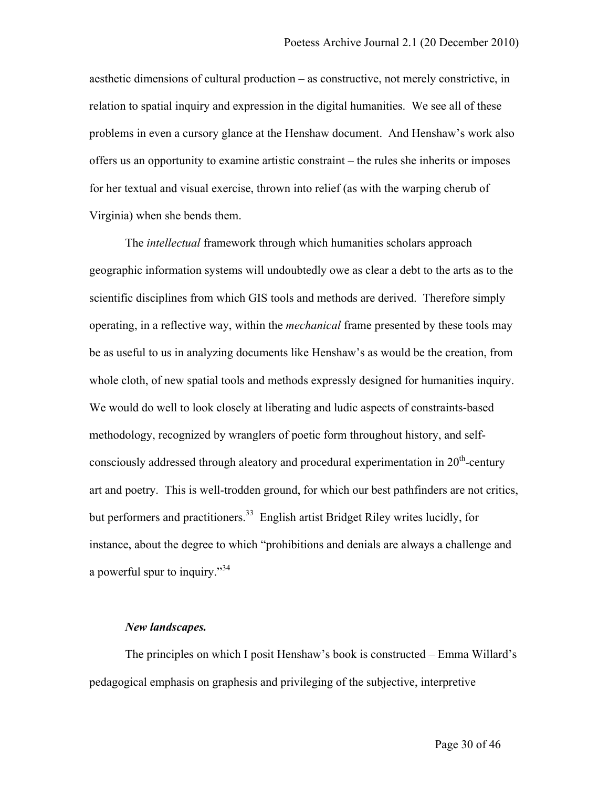aesthetic dimensions of cultural production – as constructive, not merely constrictive, in relation to spatial inquiry and expression in the digital humanities. We see all of these problems in even a cursory glance at the Henshaw document. And Henshaw's work also offers us an opportunity to examine artistic constraint – the rules she inherits or imposes for her textual and visual exercise, thrown into relief (as with the warping cherub of Virginia) when she bends them.

The *intellectual* framework through which humanities scholars approach geographic information systems will undoubtedly owe as clear a debt to the arts as to the scientific disciplines from which GIS tools and methods are derived. Therefore simply operating, in a reflective way, within the *mechanical* frame presented by these tools may be as useful to us in analyzing documents like Henshaw's as would be the creation, from whole cloth, of new spatial tools and methods expressly designed for humanities inquiry. We would do well to look closely at liberating and ludic aspects of constraints-based methodology, recognized by wranglers of poetic form throughout history, and selfconsciously addressed through aleatory and procedural experimentation in  $20<sup>th</sup>$ -century art and poetry. This is well-trodden ground, for which our best pathfinders are not critics, but performers and practitioners.<sup>33</sup> English artist Bridget Riley writes lucidly, for instance, about the degree to which "prohibitions and denials are always a challenge and a powerful spur to inquiry."<sup>34</sup>

#### *New landscapes.*

The principles on which I posit Henshaw's book is constructed – Emma Willard's pedagogical emphasis on graphesis and privileging of the subjective, interpretive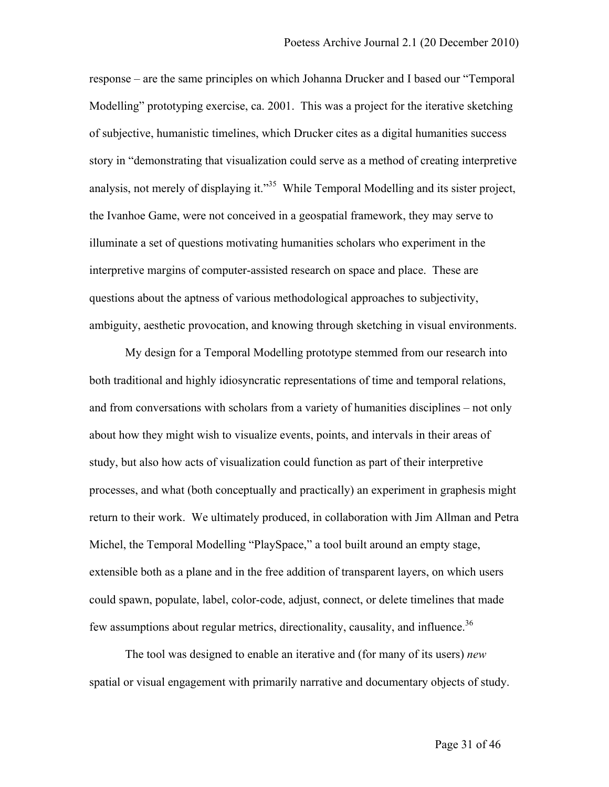response – are the same principles on which Johanna Drucker and I based our "Temporal Modelling" prototyping exercise, ca. 2001. This was a project for the iterative sketching of subjective, humanistic timelines, which Drucker cites as a digital humanities success story in "demonstrating that visualization could serve as a method of creating interpretive analysis, not merely of displaying it."<sup>35</sup> While Temporal Modelling and its sister project, the Ivanhoe Game, were not conceived in a geospatial framework, they may serve to illuminate a set of questions motivating humanities scholars who experiment in the interpretive margins of computer-assisted research on space and place. These are questions about the aptness of various methodological approaches to subjectivity, ambiguity, aesthetic provocation, and knowing through sketching in visual environments.

My design for a Temporal Modelling prototype stemmed from our research into both traditional and highly idiosyncratic representations of time and temporal relations, and from conversations with scholars from a variety of humanities disciplines – not only about how they might wish to visualize events, points, and intervals in their areas of study, but also how acts of visualization could function as part of their interpretive processes, and what (both conceptually and practically) an experiment in graphesis might return to their work. We ultimately produced, in collaboration with Jim Allman and Petra Michel, the Temporal Modelling "PlaySpace," a tool built around an empty stage, extensible both as a plane and in the free addition of transparent layers, on which users could spawn, populate, label, color-code, adjust, connect, or delete timelines that made few assumptions about regular metrics, directionality, causality, and influence.<sup>36</sup>

The tool was designed to enable an iterative and (for many of its users) *new* spatial or visual engagement with primarily narrative and documentary objects of study.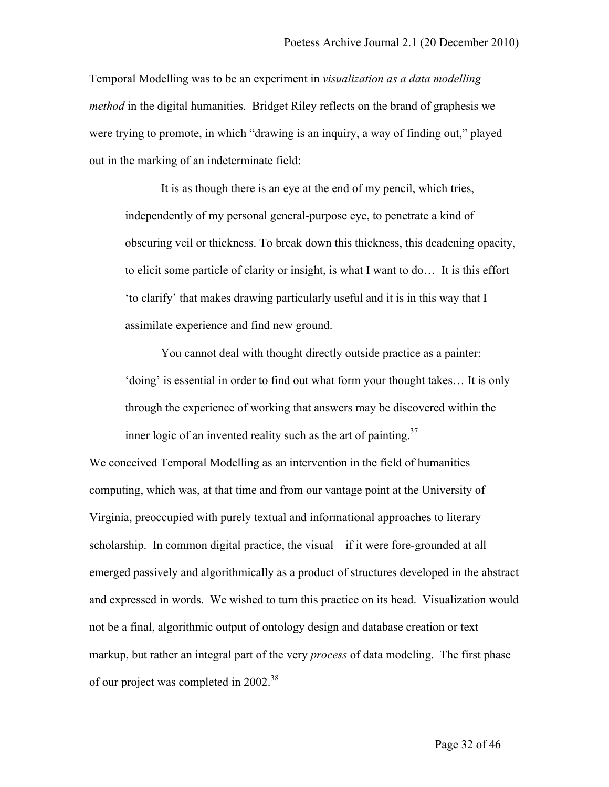Temporal Modelling was to be an experiment in *visualization as a data modelling method* in the digital humanities. Bridget Riley reflects on the brand of graphesis we were trying to promote, in which "drawing is an inquiry, a way of finding out," played out in the marking of an indeterminate field:

It is as though there is an eye at the end of my pencil, which tries, independently of my personal general-purpose eye, to penetrate a kind of obscuring veil or thickness. To break down this thickness, this deadening opacity, to elicit some particle of clarity or insight, is what I want to do… It is this effort 'to clarify' that makes drawing particularly useful and it is in this way that I assimilate experience and find new ground.

You cannot deal with thought directly outside practice as a painter: 'doing' is essential in order to find out what form your thought takes… It is only through the experience of working that answers may be discovered within the inner logic of an invented reality such as the art of painting.<sup>37</sup>

We conceived Temporal Modelling as an intervention in the field of humanities computing, which was, at that time and from our vantage point at the University of Virginia, preoccupied with purely textual and informational approaches to literary scholarship. In common digital practice, the visual – if it were fore-grounded at all – emerged passively and algorithmically as a product of structures developed in the abstract and expressed in words. We wished to turn this practice on its head. Visualization would not be a final, algorithmic output of ontology design and database creation or text markup, but rather an integral part of the very *process* of data modeling. The first phase of our project was completed in 2002.<sup>38</sup>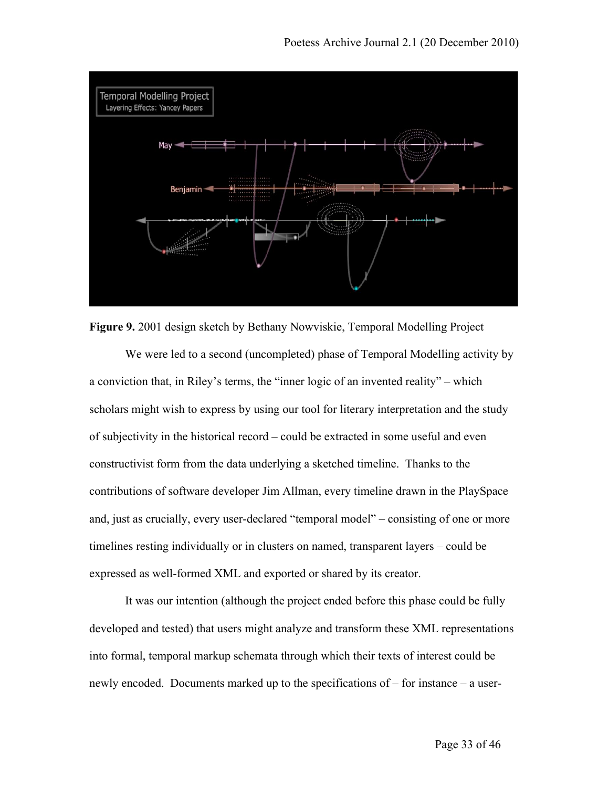

**Figure 9.** 2001 design sketch by Bethany Nowviskie, Temporal Modelling Project

We were led to a second (uncompleted) phase of Temporal Modelling activity by a conviction that, in Riley's terms, the "inner logic of an invented reality" – which scholars might wish to express by using our tool for literary interpretation and the study of subjectivity in the historical record – could be extracted in some useful and even constructivist form from the data underlying a sketched timeline. Thanks to the contributions of software developer Jim Allman, every timeline drawn in the PlaySpace and, just as crucially, every user-declared "temporal model" – consisting of one or more timelines resting individually or in clusters on named, transparent layers – could be expressed as well-formed XML and exported or shared by its creator.

It was our intention (although the project ended before this phase could be fully developed and tested) that users might analyze and transform these XML representations into formal, temporal markup schemata through which their texts of interest could be newly encoded. Documents marked up to the specifications of – for instance – a user-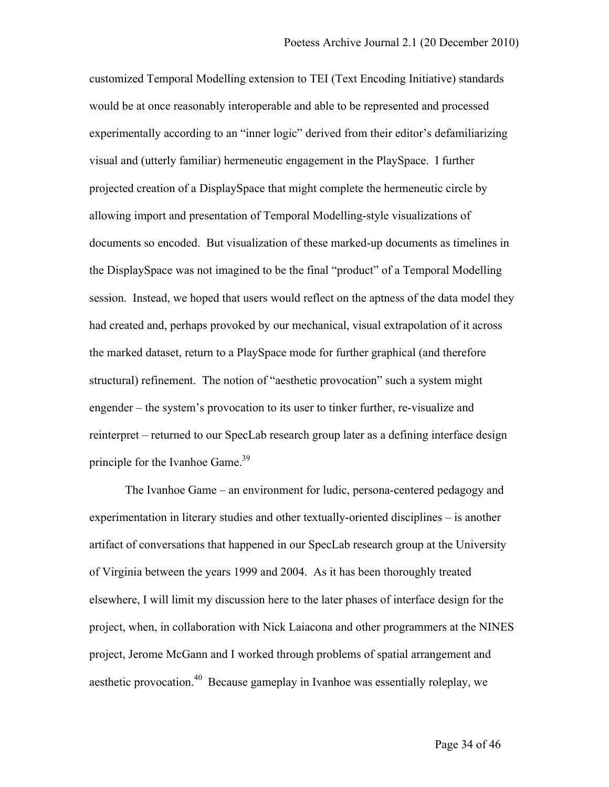customized Temporal Modelling extension to TEI (Text Encoding Initiative) standards would be at once reasonably interoperable and able to be represented and processed experimentally according to an "inner logic" derived from their editor's defamiliarizing visual and (utterly familiar) hermeneutic engagement in the PlaySpace. I further projected creation of a DisplaySpace that might complete the hermeneutic circle by allowing import and presentation of Temporal Modelling-style visualizations of documents so encoded. But visualization of these marked-up documents as timelines in the DisplaySpace was not imagined to be the final "product" of a Temporal Modelling session. Instead, we hoped that users would reflect on the aptness of the data model they had created and, perhaps provoked by our mechanical, visual extrapolation of it across the marked dataset, return to a PlaySpace mode for further graphical (and therefore structural) refinement. The notion of "aesthetic provocation" such a system might engender – the system's provocation to its user to tinker further, re-visualize and reinterpret – returned to our SpecLab research group later as a defining interface design principle for the Ivanhoe Game.<sup>39</sup>

The Ivanhoe Game – an environment for ludic, persona-centered pedagogy and experimentation in literary studies and other textually-oriented disciplines – is another artifact of conversations that happened in our SpecLab research group at the University of Virginia between the years 1999 and 2004. As it has been thoroughly treated elsewhere, I will limit my discussion here to the later phases of interface design for the project, when, in collaboration with Nick Laiacona and other programmers at the NINES project, Jerome McGann and I worked through problems of spatial arrangement and aesthetic provocation.<sup>40</sup> Because gameplay in Ivanhoe was essentially roleplay, we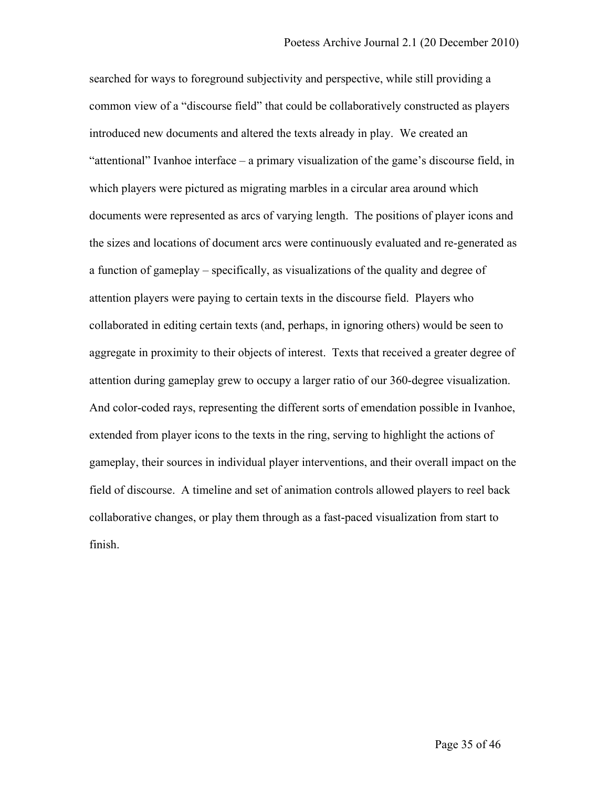searched for ways to foreground subjectivity and perspective, while still providing a common view of a "discourse field" that could be collaboratively constructed as players introduced new documents and altered the texts already in play. We created an "attentional" Ivanhoe interface – a primary visualization of the game's discourse field, in which players were pictured as migrating marbles in a circular area around which documents were represented as arcs of varying length. The positions of player icons and the sizes and locations of document arcs were continuously evaluated and re-generated as a function of gameplay – specifically, as visualizations of the quality and degree of attention players were paying to certain texts in the discourse field. Players who collaborated in editing certain texts (and, perhaps, in ignoring others) would be seen to aggregate in proximity to their objects of interest. Texts that received a greater degree of attention during gameplay grew to occupy a larger ratio of our 360-degree visualization. And color-coded rays, representing the different sorts of emendation possible in Ivanhoe, extended from player icons to the texts in the ring, serving to highlight the actions of gameplay, their sources in individual player interventions, and their overall impact on the field of discourse. A timeline and set of animation controls allowed players to reel back collaborative changes, or play them through as a fast-paced visualization from start to finish.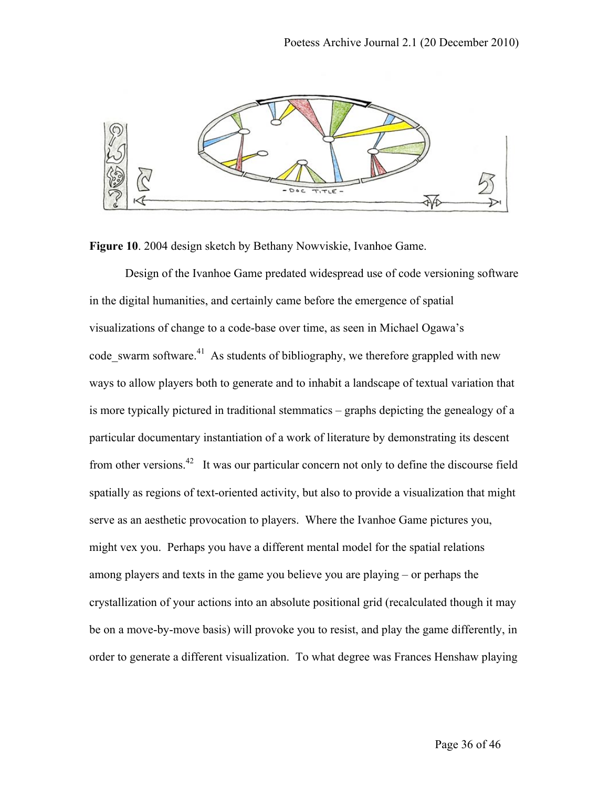

**Figure 10**. 2004 design sketch by Bethany Nowviskie, Ivanhoe Game.

Design of the Ivanhoe Game predated widespread use of code versioning software in the digital humanities, and certainly came before the emergence of spatial visualizations of change to a code-base over time, as seen in Michael Ogawa's code\_swarm software. $^{41}$  As students of bibliography, we therefore grappled with new ways to allow players both to generate and to inhabit a landscape of textual variation that is more typically pictured in traditional stemmatics – graphs depicting the genealogy of a particular documentary instantiation of a work of literature by demonstrating its descent from other versions.<sup>42</sup> It was our particular concern not only to define the discourse field spatially as regions of text-oriented activity, but also to provide a visualization that might serve as an aesthetic provocation to players. Where the Ivanhoe Game pictures you, might vex you. Perhaps you have a different mental model for the spatial relations among players and texts in the game you believe you are playing – or perhaps the crystallization of your actions into an absolute positional grid (recalculated though it may be on a move-by-move basis) will provoke you to resist, and play the game differently, in order to generate a different visualization. To what degree was Frances Henshaw playing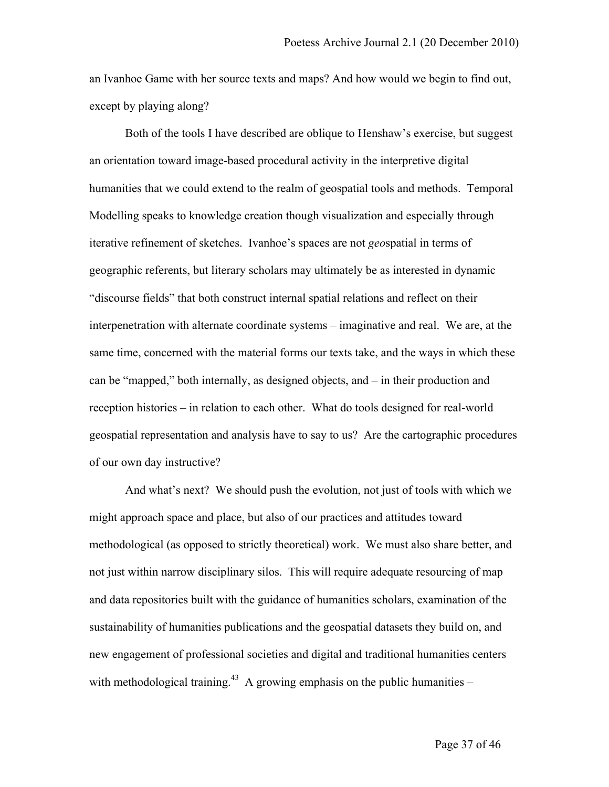an Ivanhoe Game with her source texts and maps? And how would we begin to find out, except by playing along?

Both of the tools I have described are oblique to Henshaw's exercise, but suggest an orientation toward image-based procedural activity in the interpretive digital humanities that we could extend to the realm of geospatial tools and methods. Temporal Modelling speaks to knowledge creation though visualization and especially through iterative refinement of sketches. Ivanhoe's spaces are not *geo*spatial in terms of geographic referents, but literary scholars may ultimately be as interested in dynamic "discourse fields" that both construct internal spatial relations and reflect on their interpenetration with alternate coordinate systems – imaginative and real. We are, at the same time, concerned with the material forms our texts take, and the ways in which these can be "mapped," both internally, as designed objects, and – in their production and reception histories – in relation to each other. What do tools designed for real-world geospatial representation and analysis have to say to us? Are the cartographic procedures of our own day instructive?

And what's next? We should push the evolution, not just of tools with which we might approach space and place, but also of our practices and attitudes toward methodological (as opposed to strictly theoretical) work. We must also share better, and not just within narrow disciplinary silos. This will require adequate resourcing of map and data repositories built with the guidance of humanities scholars, examination of the sustainability of humanities publications and the geospatial datasets they build on, and new engagement of professional societies and digital and traditional humanities centers with methodological training.<sup>43</sup> A growing emphasis on the public humanities –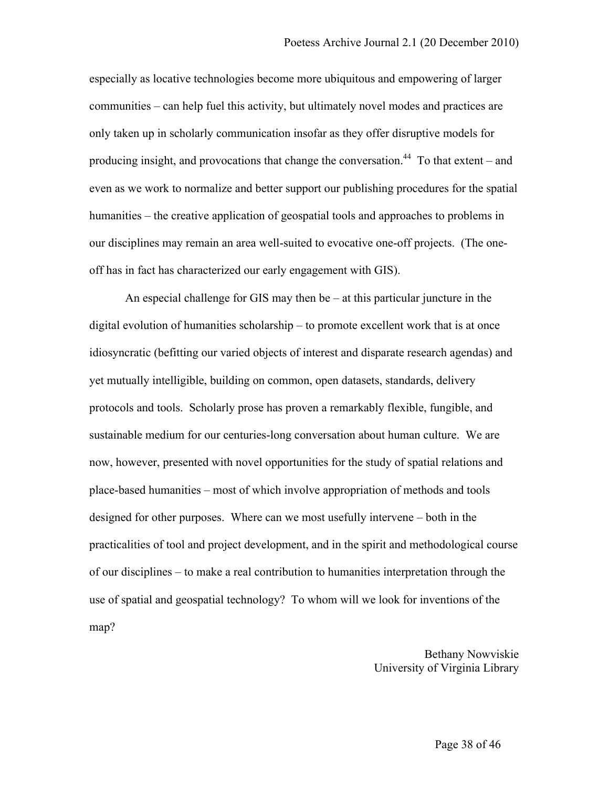especially as locative technologies become more ubiquitous and empowering of larger communities – can help fuel this activity, but ultimately novel modes and practices are only taken up in scholarly communication insofar as they offer disruptive models for producing insight, and provocations that change the conversation.<sup>44</sup> To that extent – and even as we work to normalize and better support our publishing procedures for the spatial humanities – the creative application of geospatial tools and approaches to problems in our disciplines may remain an area well-suited to evocative one-off projects. (The oneoff has in fact has characterized our early engagement with GIS).

An especial challenge for GIS may then be – at this particular juncture in the digital evolution of humanities scholarship – to promote excellent work that is at once idiosyncratic (befitting our varied objects of interest and disparate research agendas) and yet mutually intelligible, building on common, open datasets, standards, delivery protocols and tools. Scholarly prose has proven a remarkably flexible, fungible, and sustainable medium for our centuries-long conversation about human culture. We are now, however, presented with novel opportunities for the study of spatial relations and place-based humanities – most of which involve appropriation of methods and tools designed for other purposes. Where can we most usefully intervene – both in the practicalities of tool and project development, and in the spirit and methodological course of our disciplines – to make a real contribution to humanities interpretation through the use of spatial and geospatial technology? To whom will we look for inventions of the map?

> Bethany Nowviskie University of Virginia Library

> > Page 38 of 46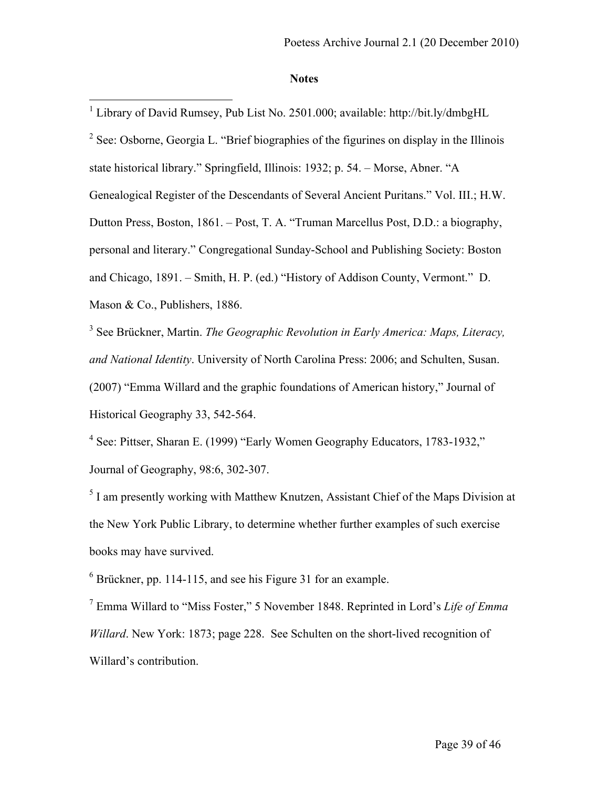#### **Notes**

<sup>1</sup> Library of David Rumsey, Pub List No. 2501.000; available: http://bit.ly/dmbgHL <sup>2</sup> See: Osborne, Georgia L. "Brief biographies of the figurines on display in the Illinois state historical library." Springfield, Illinois: 1932; p. 54. – Morse, Abner. "A Genealogical Register of the Descendants of Several Ancient Puritans." Vol. III.; H.W. Dutton Press, Boston, 1861. – Post, T. A. "Truman Marcellus Post, D.D.: a biography, personal and literary." Congregational Sunday-School and Publishing Society: Boston and Chicago, 1891. – Smith, H. P. (ed.) "History of Addison County, Vermont." D. Mason & Co., Publishers, 1886.

<sup>3</sup> See Brückner, Martin. *The Geographic Revolution in Early America: Maps, Literacy, and National Identity*. University of North Carolina Press: 2006; and Schulten, Susan. (2007) "Emma Willard and the graphic foundations of American history," Journal of Historical Geography 33, 542-564.

<sup>4</sup> See: Pittser, Sharan E. (1999) "Early Women Geography Educators, 1783-1932," Journal of Geography, 98:6, 302-307.

<sup>5</sup> I am presently working with Matthew Knutzen, Assistant Chief of the Maps Division at the New York Public Library, to determine whether further examples of such exercise books may have survived.

<sup>6</sup> Brückner, pp. 114-115, and see his Figure 31 for an example.

<sup>7</sup> Emma Willard to "Miss Foster," 5 November 1848. Reprinted in Lord's *Life of Emma Willard*. New York: 1873; page 228. See Schulten on the short-lived recognition of Willard's contribution.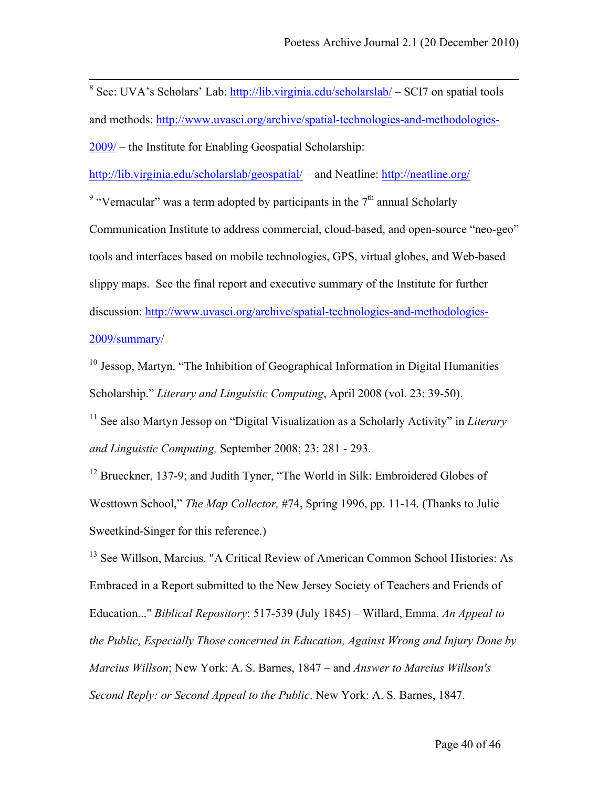8 See: UVA's Scholars' Lab: http://lib.virginia.edu/scholarslab/ – SCI7 on spatial tools and methods: http://www.uvasci.org/archive/spatial-technologies-and-methodologies-2009/ – the Institute for Enabling Geospatial Scholarship:

http://lib.virginia.edu/scholarslab/geospatial/ – and Neatline: http://neatline.org/

<sup>9</sup> "Vernacular" was a term adopted by participants in the  $7<sup>th</sup>$  annual Scholarly

Communication Institute to address commercial, cloud-based, and open-source "neo-geo" tools and interfaces based on mobile technologies, GPS, virtual globes, and Web-based slippy maps. See the final report and executive summary of the Institute for further discussion: http://www.uvasci.org/archive/spatial-technologies-and-methodologies-2009/summary/

<sup>10</sup> Jessop, Martyn. "The Inhibition of Geographical Information in Digital Humanities Scholarship." *Literary and Linguistic Computing*, April 2008 (vol. 23: 39-50).

<sup>11</sup> See also Martyn Jessop on "Digital Visualization as a Scholarly Activity" in *Literary and Linguistic Computing,* September 2008; 23: 281 - 293.

<sup>12</sup> Brueckner, 137-9; and Judith Tyner, "The World in Silk: Embroidered Globes of Westtown School," *The Map Collector,* #74, Spring 1996, pp. 11-14. (Thanks to Julie Sweetkind-Singer for this reference.)

<sup>13</sup> See Willson, Marcius. "A Critical Review of American Common School Histories: As Embraced in a Report submitted to the New Jersey Society of Teachers and Friends of Education..." *Biblical Repository*: 517-539 (July 1845) – Willard, Emma. *An Appeal to the Public, Especially Those concerned in Education, Against Wrong and Injury Done by Marcius Willson*; New York: A. S. Barnes, 1847 – and *Answer to Marcius Willson's Second Reply: or Second Appeal to the Public*. New York: A. S. Barnes, 1847.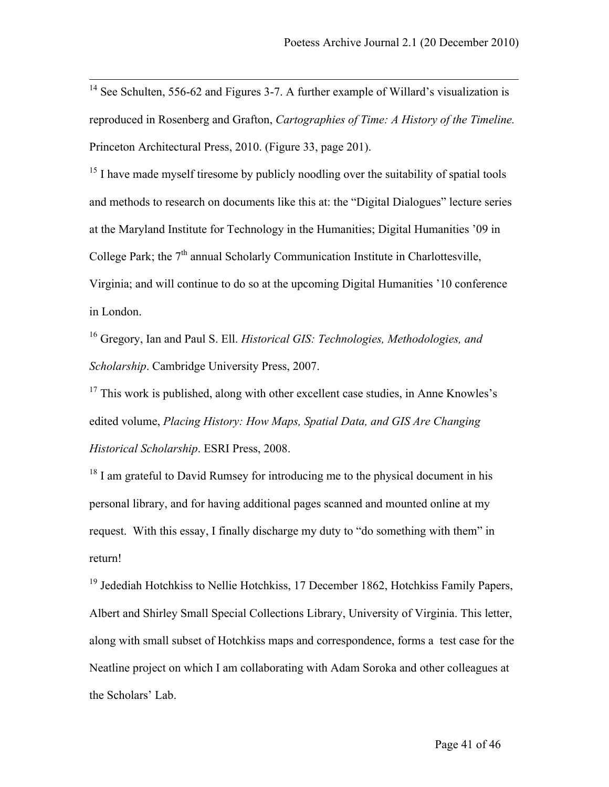<sup>14</sup> See Schulten, 556-62 and Figures 3-7. A further example of Willard's visualization is reproduced in Rosenberg and Grafton, *Cartographies of Time: A History of the Timeline.* Princeton Architectural Press, 2010. (Figure 33, page 201).

<sup>15</sup> I have made myself tiresome by publicly noodling over the suitability of spatial tools and methods to research on documents like this at: the "Digital Dialogues" lecture series at the Maryland Institute for Technology in the Humanities; Digital Humanities '09 in College Park; the  $7<sup>th</sup>$  annual Scholarly Communication Institute in Charlottesville, Virginia; and will continue to do so at the upcoming Digital Humanities '10 conference in London.

<sup>16</sup> Gregory, Ian and Paul S. Ell. *Historical GIS: Technologies, Methodologies, and Scholarship*. Cambridge University Press, 2007.

<sup>17</sup> This work is published, along with other excellent case studies, in Anne Knowles's edited volume, *Placing History: How Maps, Spatial Data, and GIS Are Changing Historical Scholarship*. ESRI Press, 2008.

 $18$  I am grateful to David Rumsey for introducing me to the physical document in his personal library, and for having additional pages scanned and mounted online at my request. With this essay, I finally discharge my duty to "do something with them" in return!

 $19$  Jedediah Hotchkiss to Nellie Hotchkiss, 17 December 1862, Hotchkiss Family Papers, Albert and Shirley Small Special Collections Library, University of Virginia. This letter, along with small subset of Hotchkiss maps and correspondence, forms a test case for the Neatline project on which I am collaborating with Adam Soroka and other colleagues at the Scholars' Lab.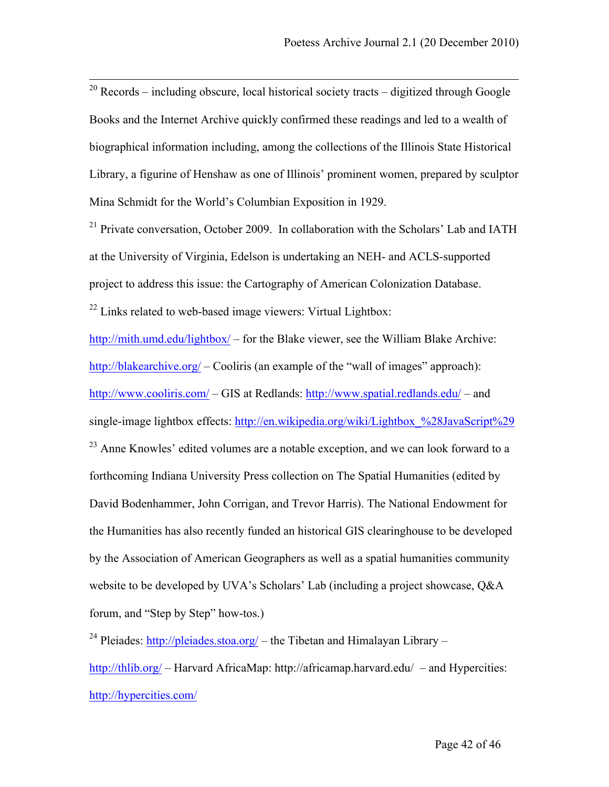$20$  Records – including obscure, local historical society tracts – digitized through Google Books and the Internet Archive quickly confirmed these readings and led to a wealth of biographical information including, among the collections of the Illinois State Historical Library, a figurine of Henshaw as one of Illinois' prominent women, prepared by sculptor Mina Schmidt for the World's Columbian Exposition in 1929.

 $21$  Private conversation, October 2009. In collaboration with the Scholars' Lab and IATH at the University of Virginia, Edelson is undertaking an NEH- and ACLS-supported project to address this issue: the Cartography of American Colonization Database.  $22$  Links related to web-based image viewers: Virtual Lightbox:

http://mith.umd.edu/lightbox/ – for the Blake viewer, see the William Blake Archive: http://blakearchive.org/ – Cooliris (an example of the "wall of images" approach): http://www.cooliris.com/ – GIS at Redlands: http://www.spatial.redlands.edu/ – and single-image lightbox effects: http://en.wikipedia.org/wiki/Lightbox %28JavaScript%29

<sup>23</sup> Anne Knowles' edited volumes are a notable exception, and we can look forward to a forthcoming Indiana University Press collection on The Spatial Humanities (edited by David Bodenhammer, John Corrigan, and Trevor Harris). The National Endowment for the Humanities has also recently funded an historical GIS clearinghouse to be developed by the Association of American Geographers as well as a spatial humanities community website to be developed by UVA's Scholars' Lab (including a project showcase, Q&A forum, and "Step by Step" how-tos.)

<sup>24</sup> Pleiades: http://pleiades.stoa.org/ – the Tibetan and Himalayan Library – http://thlib.org/ – Harvard AfricaMap: http://africamap.harvard.edu/ – and Hypercities: http://hypercities.com/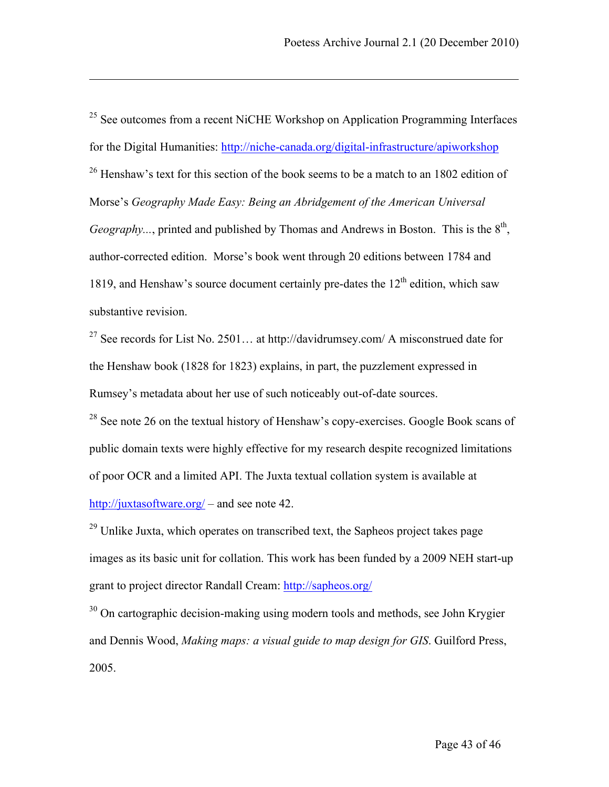$25$  See outcomes from a recent NiCHE Workshop on Application Programming Interfaces for the Digital Humanities: http://niche-canada.org/digital-infrastructure/apiworkshop  $^{26}$  Henshaw's text for this section of the book seems to be a match to an 1802 edition of Morse's *Geography Made Easy: Being an Abridgement of the American Universal Geography...*, printed and published by Thomas and Andrews in Boston. This is the  $8<sup>th</sup>$ . author-corrected edition. Morse's book went through 20 editions between 1784 and 1819, and Henshaw's source document certainly pre-dates the  $12<sup>th</sup>$  edition, which saw substantive revision.

<u>.</u>

<sup>27</sup> See records for List No. 2501... at http://davidrumsey.com/ A misconstrued date for the Henshaw book (1828 for 1823) explains, in part, the puzzlement expressed in Rumsey's metadata about her use of such noticeably out-of-date sources.

 $^{28}$  See note 26 on the textual history of Henshaw's copy-exercises. Google Book scans of public domain texts were highly effective for my research despite recognized limitations of poor OCR and a limited API. The Juxta textual collation system is available at http://juxtasoftware.org/ – and see note 42.

 $^{29}$  Unlike Juxta, which operates on transcribed text, the Sapheos project takes page images as its basic unit for collation. This work has been funded by a 2009 NEH start-up grant to project director Randall Cream: http://sapheos.org/

 $30$  On cartographic decision-making using modern tools and methods, see John Krygier and Dennis Wood, *Making maps: a visual guide to map design for GIS*. Guilford Press, 2005.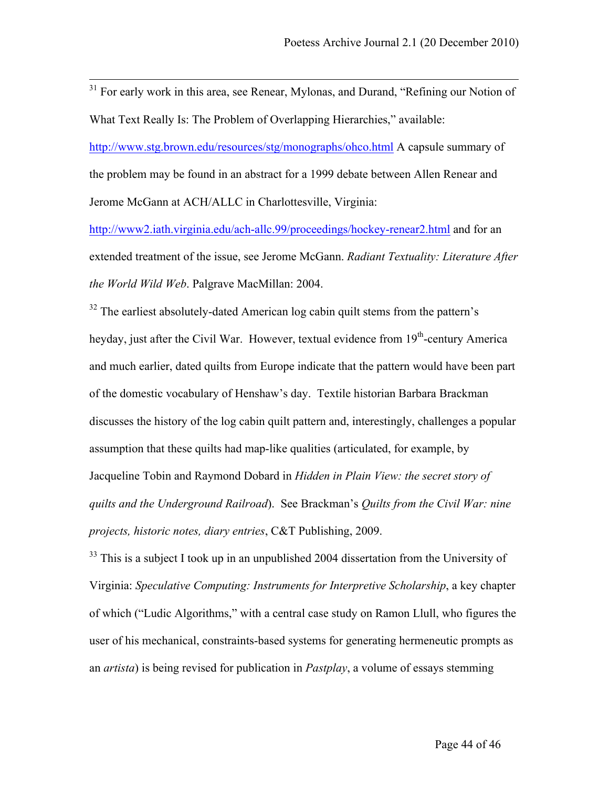<sup>31</sup> For early work in this area, see Renear, Mylonas, and Durand, "Refining our Notion of What Text Really Is: The Problem of Overlapping Hierarchies," available: http://www.stg.brown.edu/resources/stg/monographs/ohco.html A capsule summary of the problem may be found in an abstract for a 1999 debate between Allen Renear and Jerome McGann at ACH/ALLC in Charlottesville, Virginia:

http://www2.iath.virginia.edu/ach-allc.99/proceedings/hockey-renear2.html and for an extended treatment of the issue, see Jerome McGann. *Radiant Textuality: Literature After the World Wild Web*. Palgrave MacMillan: 2004.

 $32$  The earliest absolutely-dated American log cabin quilt stems from the pattern's heyday, just after the Civil War. However, textual evidence from 19<sup>th</sup>-century America and much earlier, dated quilts from Europe indicate that the pattern would have been part of the domestic vocabulary of Henshaw's day. Textile historian Barbara Brackman discusses the history of the log cabin quilt pattern and, interestingly, challenges a popular assumption that these quilts had map-like qualities (articulated, for example, by Jacqueline Tobin and Raymond Dobard in *Hidden in Plain View: the secret story of quilts and the Underground Railroad*). See Brackman's *Quilts from the Civil War: nine projects, historic notes, diary entries*, C&T Publishing, 2009.

 $33$  This is a subject I took up in an unpublished 2004 dissertation from the University of Virginia: *Speculative Computing: Instruments for Interpretive Scholarship*, a key chapter of which ("Ludic Algorithms," with a central case study on Ramon Llull, who figures the user of his mechanical, constraints-based systems for generating hermeneutic prompts as an *artista*) is being revised for publication in *Pastplay*, a volume of essays stemming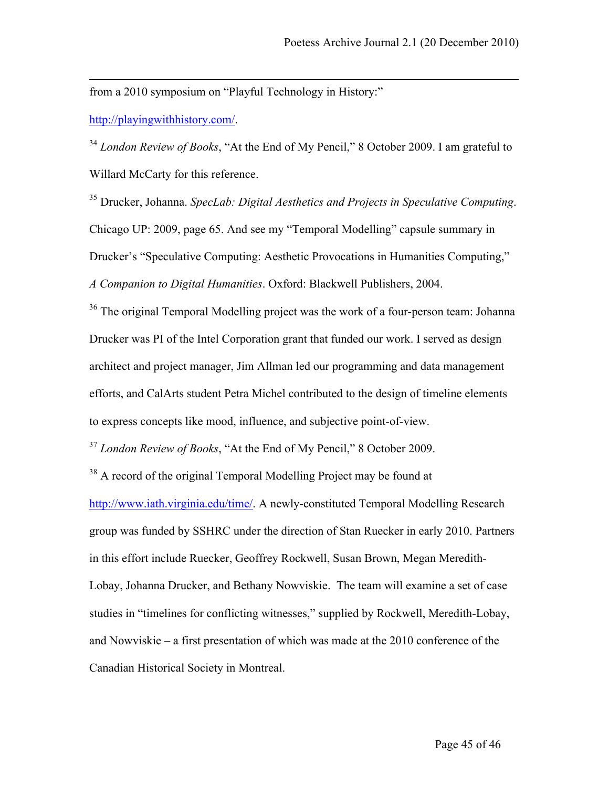from a 2010 symposium on "Playful Technology in History:"

http://playingwithhistory.com/.

<u>.</u>

<sup>34</sup> *London Review of Books*, "At the End of My Pencil," 8 October 2009. I am grateful to Willard McCarty for this reference.

<sup>35</sup> Drucker, Johanna. *SpecLab: Digital Aesthetics and Projects in Speculative Computing*. Chicago UP: 2009, page 65. And see my "Temporal Modelling" capsule summary in Drucker's "Speculative Computing: Aesthetic Provocations in Humanities Computing," *A Companion to Digital Humanities*. Oxford: Blackwell Publishers, 2004.

<sup>36</sup> The original Temporal Modelling project was the work of a four-person team: Johanna Drucker was PI of the Intel Corporation grant that funded our work. I served as design architect and project manager, Jim Allman led our programming and data management efforts, and CalArts student Petra Michel contributed to the design of timeline elements to express concepts like mood, influence, and subjective point-of-view.

<sup>37</sup> *London Review of Books*, "At the End of My Pencil," 8 October 2009.

 $38$  A record of the original Temporal Modelling Project may be found at http://www.iath.virginia.edu/time/. A newly-constituted Temporal Modelling Research group was funded by SSHRC under the direction of Stan Ruecker in early 2010. Partners in this effort include Ruecker, Geoffrey Rockwell, Susan Brown, Megan Meredith-Lobay, Johanna Drucker, and Bethany Nowviskie. The team will examine a set of case studies in "timelines for conflicting witnesses," supplied by Rockwell, Meredith-Lobay, and Nowviskie – a first presentation of which was made at the 2010 conference of the Canadian Historical Society in Montreal.